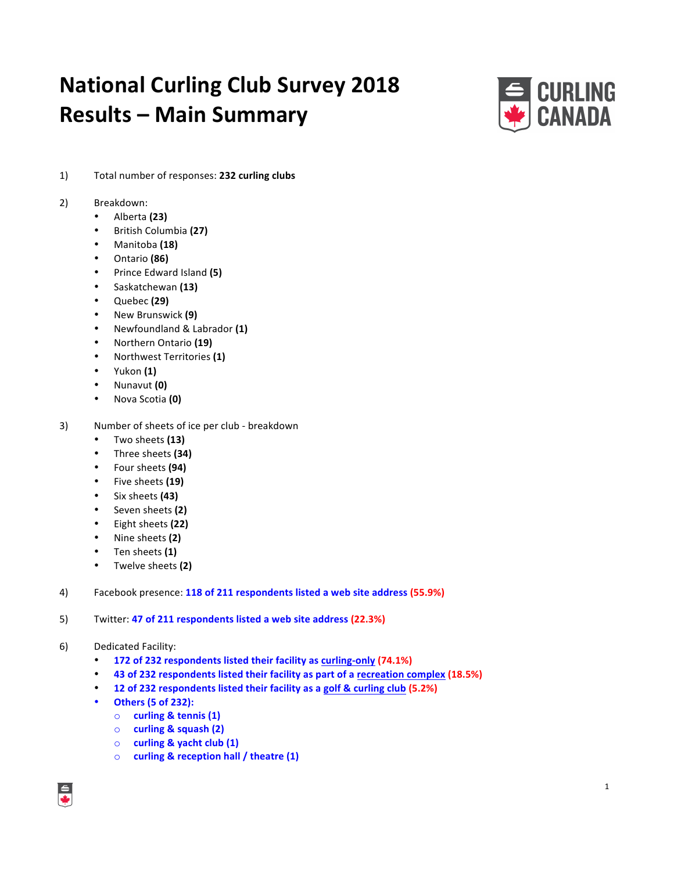# **National Curling Club Survey 2018 Results – Main Summary**



1) Total number of responses: 232 curling clubs

## 2) Breakdown:

- Alberta **(23)**
- British Columbia **(27)**
- Manitoba **(18)**
- Ontario **(86)**
- Prince Edward Island **(5)**
- Saskatchewan **(13)**
- Quebec **(29)**
- New Brunswick **(9)**
- Newfoundland & Labrador **(1)**
- Northern Ontario **(19)**
- Northwest Territories **(1)**
- Yukon **(1)**
- Nunavut **(0)**
- Nova Scotia **(0)**
- 3) Number of sheets of ice per club breakdown
	- Two sheets **(13)**
	- Three sheets **(34)**
	- Four sheets **(94)**
	- Five sheets (19)
	- Six sheets **(43)**
	- Seven sheets **(2)**
	- Eight sheets **(22)**
	- Nine sheets **(2)**
	- Ten sheets **(1)**
	- Twelve sheets **(2)**
- 4) Facebook presence: 118 of 211 respondents listed a web site address (55.9%)
- 5) Twitter: **47 of 211 respondents listed a web site address (22.3%)**
- 6) Dedicated Facility:
	- **172 of 232 respondents listed their facility as curling-only (74.1%)**
	- 43 of 232 respondents listed their facility as part of a recreation complex (18.5%)
	- **12 of 232 respondents listed their facility as a golf & curling club (5.2%)**
	- **Others (5 of 232):**
		- o **curling & tennis (1)**
		- o **curling & squash (2)**
		- o **curling & yacht club (1)**
		- o **curling & reception hall / theatre (1)**

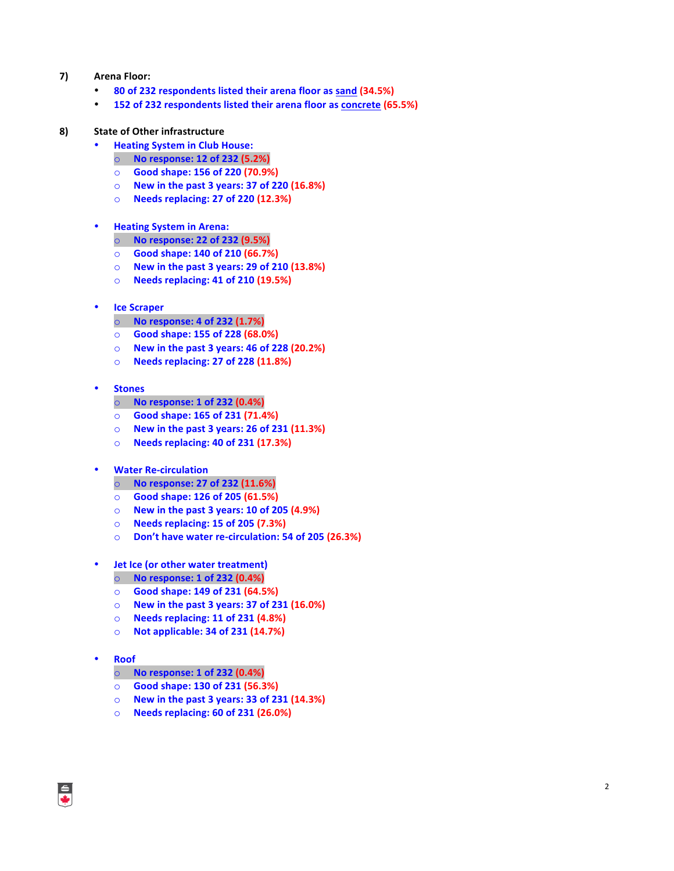## **7) Arena Floor:**

- **80 of 232 respondents listed their arena floor as sand (34.5%)**
- **152 of 232 respondents listed their arena floor as concrete (65.5%)**

#### **8)** State of Other infrastructure

- **Heating System in Club House:** 
	- o **No response: 12 of 232 (5.2%)**
	- o **Good shape: 156 of 220 (70.9%)**
	- o **New in the past 3 years: 37 of 220 (16.8%)**
	- o **Needs replacing: 27 of 220 (12.3%)**

#### • **Heating System in Arena:**

- o **No response: 22 of 232 (9.5%)**
- o **Good shape: 140 of 210 (66.7%)**
- o **New in the past 3 years: 29 of 210 (13.8%)**
- o **Needs replacing: 41 of 210 (19.5%)**
- **Ice Scraper**
	- o **No response: 4 of 232 (1.7%)**
	- o **Good shape: 155 of 228 (68.0%)**
	- o **New in the past 3 years: 46 of 228 (20.2%)**
	- o **Needs replacing: 27 of 228 (11.8%)**

#### • **Stones**

- o **No response: 1 of 232 (0.4%)**
- o **Good shape: 165 of 231 (71.4%)**
- o **New in the past 3 years: 26 of 231 (11.3%)**
- o **Needs replacing: 40 of 231 (17.3%)**
- **Water Re-circulation**
	- o **No response: 27 of 232 (11.6%)**
	- o **Good shape: 126 of 205 (61.5%)**
	- o **New in the past 3 years: 10 of 205 (4.9%)**
	- o **Needs replacing: 15 of 205 (7.3%)**
	- o **Don't have water re-circulation: 54 of 205 (26.3%)**
- **Jet Ice (or other water treatment)**
	- o **No response: 1 of 232 (0.4%)**
	- o **Good shape: 149 of 231 (64.5%)**
	- o **New in the past 3 years: 37 of 231 (16.0%)**
	- o **Needs replacing: 11 of 231 (4.8%)**
	- o **Not applicable: 34 of 231 (14.7%)**

#### • **Roof**

- o **No response: 1 of 232 (0.4%)**
- o **Good shape: 130 of 231 (56.3%)**
- o **New in the past 3 years: 33 of 231 (14.3%)**
- o **Needs replacing: 60 of 231 (26.0%)**

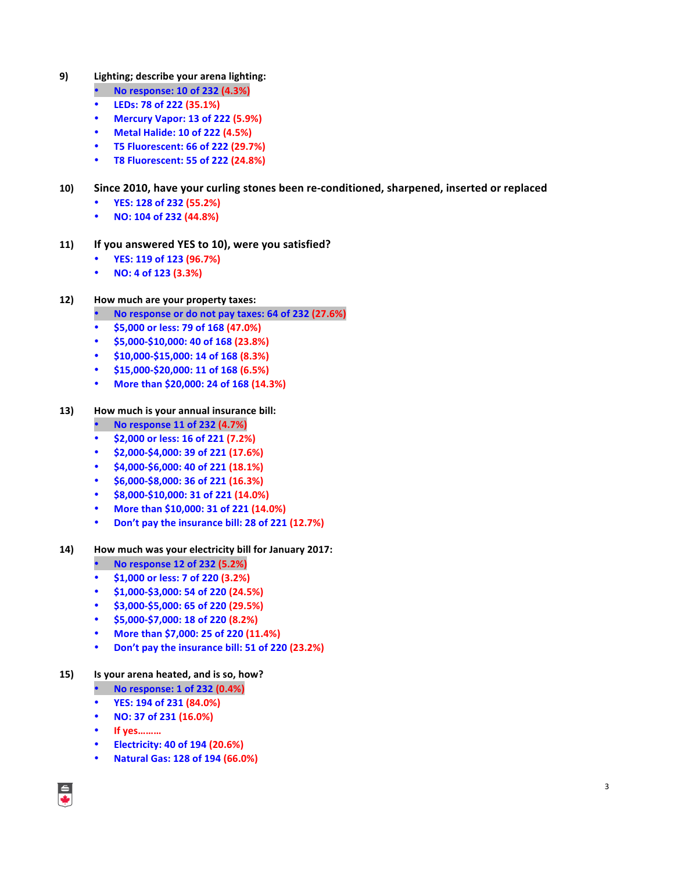- **9) Lighting; describe your arena lighting:**
	- **No response: 10 of 232 (4.3%)**
	- **LEDs: 78 of 222 (35.1%)**
	- **Mercury Vapor: 13 of 222 (5.9%)**
	- **Metal Halide: 10 of 222 (4.5%)**
	- **T5 Fluorescent: 66 of 222 (29.7%)**
	- **T8 Fluorescent: 55 of 222 (24.8%)**

## **10)** Since 2010, have your curling stones been re-conditioned, sharpened, inserted or replaced

- **YES: 128 of 232 (55.2%)**
- **NO: 104 of 232 (44.8%)**
- 11) If you answered YES to 10), were you satisfied?
	- **YES: 119 of 123 (96.7%)**
	- **NO: 4 of 123 (3.3%)**

## **12) How much are your property taxes:**

- **No response or do not pay taxes: 64 of 232 (27.6%)**
- **\$5,000 or less: 79 of 168 (47.0%)**
- **\$5,000-\$10,000: 40 of 168 (23.8%)**
- **\$10,000-\$15,000: 14 of 168 (8.3%)**
- **\$15,000-\$20,000: 11 of 168 (6.5%)**
- More than \$20,000: 24 of 168 (14.3%)

## 13) How much is your annual insurance bill:

- **No response 11 of 232 (4.7%)**
- **\$2,000 or less: 16 of 221 (7.2%)**
- **\$2,000-\$4,000: 39 of 221 (17.6%)**
- **\$4,000-\$6,000: 40 of 221 (18.1%)**
- **\$6,000-\$8,000: 36 of 221 (16.3%)**
- **\$8,000-\$10,000: 31 of 221 (14.0%)**
- **More than \$10,000: 31 of 221 (14.0%)**
- **Don't pay the insurance bill: 28 of 221 (12.7%)**

## **14) How much was your electricity bill for January 2017:**

- **No response 12 of 232 (5.2%)**
- **\$1,000 or less: 7 of 220 (3.2%)**
- **\$1,000-\$3,000: 54 of 220 (24.5%)**
- **\$3,000-\$5,000: 65 of 220 (29.5%)**
- **\$5,000-\$7,000: 18 of 220 (8.2%)**
- **More than \$7,000: 25 of 220 (11.4%)**
- **Don't pay the insurance bill: 51 of 220 (23.2%)**

## **15) Is your arena heated, and is so, how?**

- **No response: 1 of 232 (0.4%)**
- **YES: 194 of 231 (84.0%)**
- **NO: 37 of 231 (16.0%)**
- **If yes………**
- **Electricity: 40 of 194 (20.6%)**
- **Natural Gas: 128 of 194 (66.0%)**

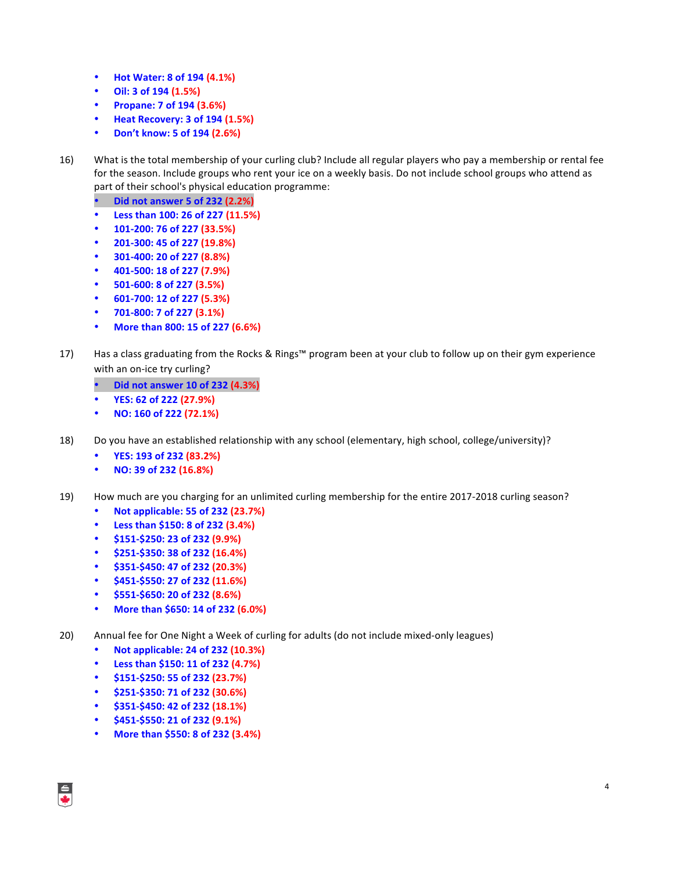- **Hot Water: 8 of 194 (4.1%)**
- **Oil: 3 of 194 (1.5%)**
- **Propane: 7 of 194 (3.6%)**
- **Heat Recovery: 3 of 194 (1.5%)**
- **Don't know: 5 of 194 (2.6%)**
- 16) What is the total membership of your curling club? Include all regular players who pay a membership or rental fee for the season. Include groups who rent your ice on a weekly basis. Do not include school groups who attend as part of their school's physical education programme:
	- **Did not answer 5 of 232 (2.2%)**
	- **Less than 100: 26 of 227 (11.5%)**
	- **101-200: 76 of 227 (33.5%)**
	- **201-300: 45 of 227 (19.8%)**
	- **301-400: 20 of 227 (8.8%)**
	- **401-500: 18 of 227 (7.9%)**
	- **501-600: 8 of 227 (3.5%)**
	- **601-700: 12 of 227 (5.3%)**
	- **701-800: 7 of 227 (3.1%)**
	- **More than 800: 15 of 227 (6.6%)**
- 17) Has a class graduating from the Rocks & Rings™ program been at your club to follow up on their gym experience with an on-ice try curling?
	- **Did not answer 10 of 232 (4.3%)**
	- **YES: 62 of 222 (27.9%)**
	- **NO: 160 of 222 (72.1%)**
- 18) Do you have an established relationship with any school (elementary, high school, college/university)?
	- **YES: 193 of 232 (83.2%)**
	- **NO: 39 of 232 (16.8%)**
- 19) How much are you charging for an unlimited curling membership for the entire 2017-2018 curling season?
	- **Not applicable: 55 of 232 (23.7%)**
	- **Less than \$150: 8 of 232 (3.4%)**
	- **\$151-\$250: 23 of 232 (9.9%)**
	- **\$251-\$350: 38 of 232 (16.4%)**
	- **\$351-\$450: 47 of 232 (20.3%)**
	- **\$451-\$550: 27 of 232 (11.6%)**
	- **\$551-\$650: 20 of 232 (8.6%)**
	- **More than \$650: 14 of 232 (6.0%)**
- 20) Annual fee for One Night a Week of curling for adults (do not include mixed-only leagues)
	- **Not applicable: 24 of 232 (10.3%)**
	- **Less than \$150: 11 of 232 (4.7%)**
	- **\$151-\$250: 55 of 232 (23.7%)**
	- **\$251-\$350: 71 of 232 (30.6%)**
	- **\$351-\$450: 42 of 232 (18.1%)**
	- **\$451-\$550: 21 of 232 (9.1%)**
	- **More than \$550: 8 of 232 (3.4%)**

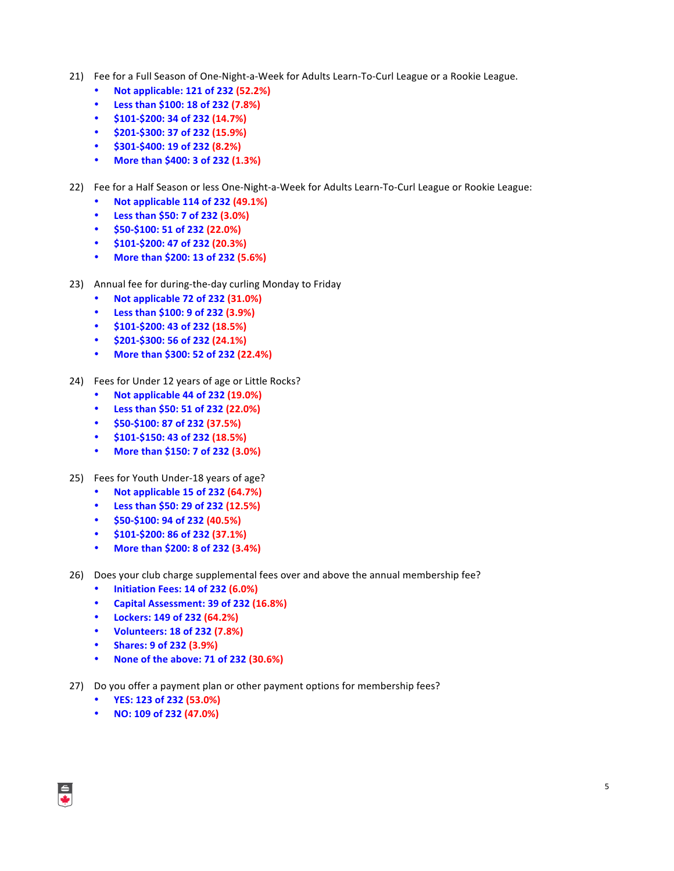- 21) Fee for a Full Season of One-Night-a-Week for Adults Learn-To-Curl League or a Rookie League.
	- **Not applicable: 121 of 232 (52.2%)**
	- **Less than \$100: 18 of 232 (7.8%)**
	- **\$101-\$200: 34 of 232 (14.7%)**
	- **\$201-\$300: 37 of 232 (15.9%)**
	- **\$301-\$400: 19 of 232 (8.2%)**
	- **More than \$400: 3 of 232 (1.3%)**
- 22) Fee for a Half Season or less One-Night-a-Week for Adults Learn-To-Curl League or Rookie League:
	- **Not applicable 114 of 232 (49.1%)**
	- **Less than \$50: 7 of 232 (3.0%)**
	- **\$50-\$100: 51 of 232 (22.0%)**
	- **\$101-\$200: 47 of 232 (20.3%)**
	- **More than \$200: 13 of 232 (5.6%)**
- 23) Annual fee for during-the-day curling Monday to Friday
	- **Not applicable 72 of 232 (31.0%)**
	- **Less than \$100: 9 of 232 (3.9%)**
	- **\$101-\$200: 43 of 232 (18.5%)**
	- **\$201-\$300: 56 of 232 (24.1%)**
	- **More than \$300: 52 of 232 (22.4%)**
- 24) Fees for Under 12 years of age or Little Rocks?
	- **Not applicable 44 of 232 (19.0%)**
	- **Less than \$50: 51 of 232 (22.0%)**
	- **\$50-\$100: 87 of 232 (37.5%)**
	- **\$101-\$150: 43 of 232 (18.5%)**
	- **More than \$150: 7 of 232 (3.0%)**
- 25) Fees for Youth Under-18 years of age?
	- **Not applicable 15 of 232 (64.7%)**
	- **Less than \$50: 29 of 232 (12.5%)**
	- **\$50-\$100: 94 of 232 (40.5%)**
	- **\$101-\$200: 86 of 232 (37.1%)**
	- **More than \$200: 8 of 232 (3.4%)**
- 26) Does your club charge supplemental fees over and above the annual membership fee?
	- **Initiation Fees: 14 of 232 (6.0%)**
	- **Capital Assessment: 39 of 232 (16.8%)**
	- **Lockers: 149 of 232 (64.2%)**
	- **Volunteers: 18 of 232 (7.8%)**
	- **Shares: 9 of 232 (3.9%)**
	- **None of the above: 71 of 232 (30.6%)**
- 27) Do you offer a payment plan or other payment options for membership fees?
	- **YES: 123 of 232 (53.0%)**
	- **NO: 109 of 232 (47.0%)**

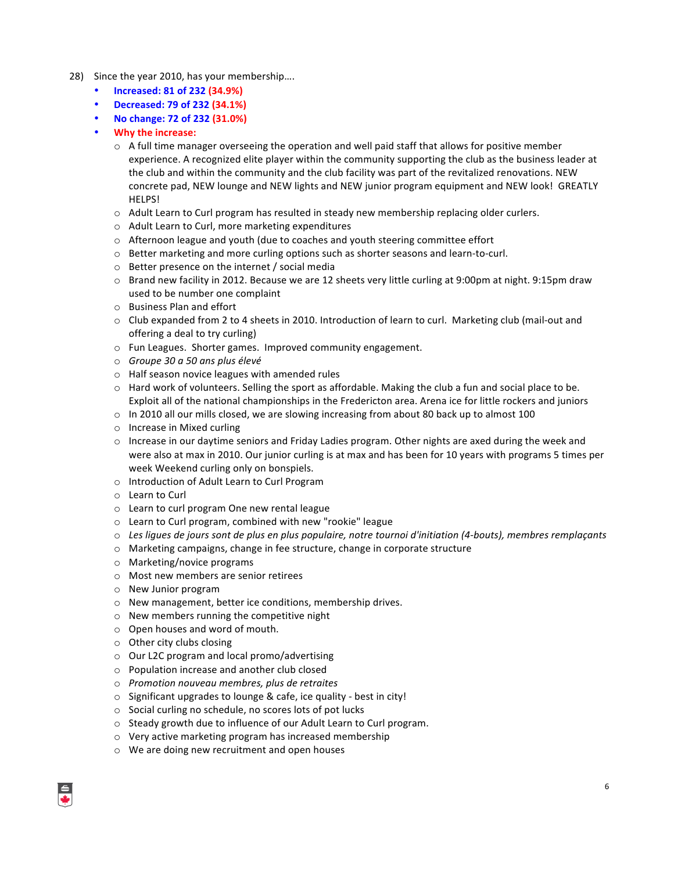- 28) Since the year 2010, has your membership....
	- **Increased: 81 of 232 (34.9%)**
	- **Decreased: 79 of 232 (34.1%)**
	- **No change: 72 of 232 (31.0%)**
	- **Why the increase:** 
		- $\circ$  A full time manager overseeing the operation and well paid staff that allows for positive member experience. A recognized elite player within the community supporting the club as the business leader at the club and within the community and the club facility was part of the revitalized renovations. NEW concrete pad, NEW lounge and NEW lights and NEW junior program equipment and NEW look! GREATLY HELPS!
		- $\circ$  Adult Learn to Curl program has resulted in steady new membership replacing older curlers.
		- $\circ$  Adult Learn to Curl, more marketing expenditures
		- $\circ$  Afternoon league and youth (due to coaches and youth steering committee effort
		- $\circ$  Better marketing and more curling options such as shorter seasons and learn-to-curl.
		- $\circ$  Better presence on the internet / social media
		- $\circ$  Brand new facility in 2012. Because we are 12 sheets very little curling at 9:00pm at night. 9:15pm draw used to be number one complaint
		- $\circ$  Business Plan and effort
		- $\circ$  Club expanded from 2 to 4 sheets in 2010. Introduction of learn to curl. Marketing club (mail-out and offering a deal to try curling)
		- o Fun Leagues. Shorter games. Improved community engagement.
		- o *Groupe 30 a 50 ans plus élevé*
		- $\circ$  Half season novice leagues with amended rules
		- $\circ$  Hard work of volunteers. Selling the sport as affordable. Making the club a fun and social place to be. Exploit all of the national championships in the Fredericton area. Arena ice for little rockers and juniors
		- $\circ$  In 2010 all our mills closed, we are slowing increasing from about 80 back up to almost 100
		- $\circ$  Increase in Mixed curling
		- $\circ$  Increase in our daytime seniors and Friday Ladies program. Other nights are axed during the week and were also at max in 2010. Our junior curling is at max and has been for 10 years with programs 5 times per week Weekend curling only on bonspiels.
		- o Introduction of Adult Learn to Curl Program
		- o Learn to Curl
		- o Learn to curl program One new rental league
		- $\circ$  Learn to Curl program, combined with new "rookie" league
		- $\circ$  Les liques de jours sont de plus en plus populaire, notre tournoi d'initiation (4-bouts), membres remplaçants
		- $\circ$  Marketing campaigns, change in fee structure, change in corporate structure
		- $\circ$  Marketing/novice programs
		- $\circ$  Most new members are senior retirees
		- $\circ$  New Junior program
		- o New management, better ice conditions, membership drives.
		- $\circ$  New members running the competitive night
		- $\circ$  Open houses and word of mouth.
		- $\circ$  Other city clubs closing
		- $\circ$  Our L2C program and local promo/advertising
		- $\circ$  Population increase and another club closed
		- o *Promotion nouveau membres, plus de retraites*
		- $\circ$  Significant upgrades to lounge & cafe, ice quality best in city!
		- $\circ$  Social curling no schedule, no scores lots of pot lucks
		- $\circ$  Steady growth due to influence of our Adult Learn to Curl program.
		- $\circ$  Very active marketing program has increased membership
		- $\circ$  We are doing new recruitment and open houses

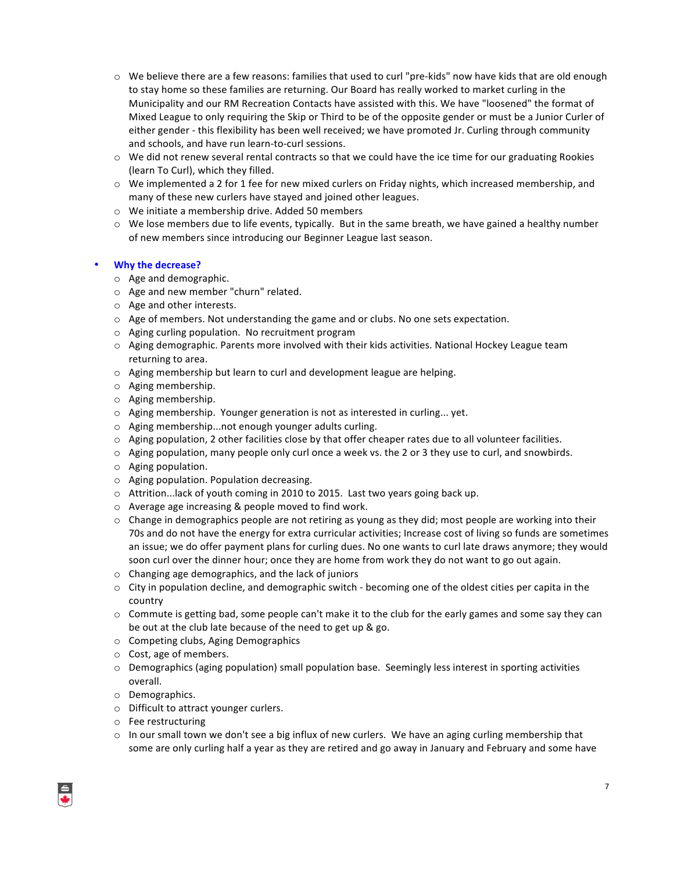- $\circ$  We believe there are a few reasons: families that used to curl "pre-kids" now have kids that are old enough to stay home so these families are returning. Our Board has really worked to market curling in the Municipality and our RM Recreation Contacts have assisted with this. We have "loosened" the format of Mixed League to only requiring the Skip or Third to be of the opposite gender or must be a Junior Curler of either gender - this flexibility has been well received; we have promoted Jr. Curling through community and schools, and have run learn-to-curl sessions.
- $\circ$  We did not renew several rental contracts so that we could have the ice time for our graduating Rookies (learn To Curl), which they filled.
- $\circ$  We implemented a 2 for 1 fee for new mixed curlers on Friday nights, which increased membership, and many of these new curlers have stayed and joined other leagues.
- $\circ$  We initiate a membership drive. Added 50 members
- $\circ$  We lose members due to life events, typically. But in the same breath, we have gained a healthy number of new members since introducing our Beginner League last season.

#### • **Why the decrease?**

- $\circ$  Age and demographic.
- $\circ$  Age and new member "churn" related.
- $\circ$  Age and other interests.
- $\circ$  Age of members. Not understanding the game and or clubs. No one sets expectation.
- $\circ$  Aging curling population. No recruitment program
- $\circ$  Aging demographic. Parents more involved with their kids activities. National Hockey League team returning to area.
- $\circ$  Aging membership but learn to curl and development league are helping.
- $\circ$  Aging membership.
- $\circ$  Aging membership.
- $\circ$  Aging membership. Younger generation is not as interested in curling... yet.
- $\circ$  Aging membership...not enough younger adults curling.
- $\circ$  Aging population, 2 other facilities close by that offer cheaper rates due to all volunteer facilities.
- $\circ$  Aging population, many people only curl once a week vs. the 2 or 3 they use to curl, and snowbirds.
- $\circ$  Aging population.
- $\circ$  Aging population. Population decreasing.
- $\circ$  Attrition...lack of youth coming in 2010 to 2015. Last two years going back up.
- $\circ$  Average age increasing & people moved to find work.
- $\circ$  Change in demographics people are not retiring as young as they did; most people are working into their 70s and do not have the energy for extra curricular activities; Increase cost of living so funds are sometimes an issue; we do offer payment plans for curling dues. No one wants to curl late draws anymore; they would soon curl over the dinner hour; once they are home from work they do not want to go out again.
- $\circ$  Changing age demographics, and the lack of juniors
- $\circ$  City in population decline, and demographic switch becoming one of the oldest cities per capita in the country
- $\circ$  Commute is getting bad, some people can't make it to the club for the early games and some say they can be out at the club late because of the need to get up & go.
- $\circ$  Competing clubs, Aging Demographics
- $\circ$  Cost, age of members.
- $\circ$  Demographics (aging population) small population base. Seemingly less interest in sporting activities overall.
- o Demographics.
- $\circ$  Difficult to attract younger curlers.
- o Fee restructuring
- $\circ$  In our small town we don't see a big influx of new curlers. We have an aging curling membership that some are only curling half a year as they are retired and go away in January and February and some have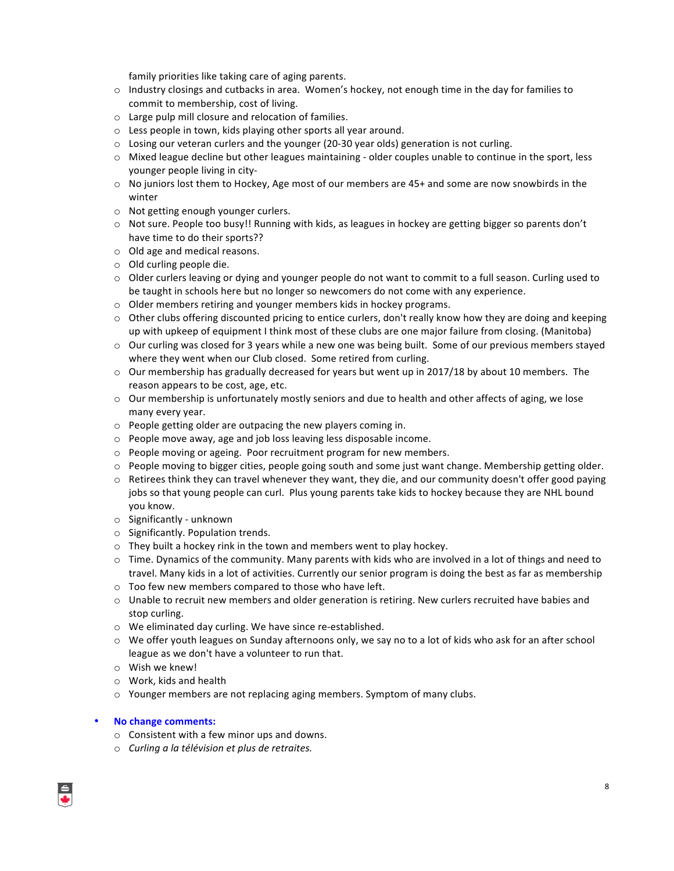family priorities like taking care of aging parents.

- $\circ$  Industry closings and cutbacks in area. Women's hockey, not enough time in the day for families to commit to membership, cost of living.
- $\circ$  Large pulp mill closure and relocation of families.
- $\circ$  Less people in town, kids playing other sports all year around.
- $\circ$  Losing our veteran curlers and the younger (20-30 year olds) generation is not curling.
- o Mixed league decline but other leagues maintaining older couples unable to continue in the sport, less younger people living in city-
- $\circ$  No juniors lost them to Hockey, Age most of our members are 45+ and some are now snowbirds in the winter
- $\circ$  Not getting enough younger curlers.
- $\circ$  Not sure. People too busy!! Running with kids, as leagues in hockey are getting bigger so parents don't have time to do their sports??
- o Old age and medical reasons.
- $\circ$  Old curling people die.
- $\circ$  Older curlers leaving or dying and younger people do not want to commit to a full season. Curling used to be taught in schools here but no longer so newcomers do not come with any experience.
- $\circ$  Older members retiring and younger members kids in hockey programs.
- $\circ$  Other clubs offering discounted pricing to entice curlers, don't really know how they are doing and keeping up with upkeep of equipment I think most of these clubs are one major failure from closing. (Manitoba)
- $\circ$  Our curling was closed for 3 years while a new one was being built. Some of our previous members stayed where they went when our Club closed. Some retired from curling.
- o Our membership has gradually decreased for years but went up in 2017/18 by about 10 members. The reason appears to be cost, age, etc.
- $\circ$  Our membership is unfortunately mostly seniors and due to health and other affects of aging, we lose many every year.
- $\circ$  People getting older are outpacing the new players coming in.
- $\circ$  People move away, age and job loss leaving less disposable income.
- $\circ$  People moving or ageing. Poor recruitment program for new members.
- $\circ$  People moving to bigger cities, people going south and some just want change. Membership getting older.
- $\circ$  Retirees think they can travel whenever they want, they die, and our community doesn't offer good paying jobs so that young people can curl. Plus young parents take kids to hockey because they are NHL bound you know.
- $\circ$  Significantly unknown
- $\circ$  Significantly. Population trends.
- $\circ$  They built a hockey rink in the town and members went to play hockey.
- $\circ$  Time. Dynamics of the community. Many parents with kids who are involved in a lot of things and need to travel. Many kids in a lot of activities. Currently our senior program is doing the best as far as membership
- $\circ$  Too few new members compared to those who have left.
- $\circ$  Unable to recruit new members and older generation is retiring. New curlers recruited have babies and stop curling.
- $\circ$  We eliminated day curling. We have since re-established.
- $\circ$  We offer youth leagues on Sunday afternoons only, we say no to a lot of kids who ask for an after school league as we don't have a volunteer to run that.
- $\circ$  Wish we knew!
- $\circ$  Work, kids and health
- $\circ$  Younger members are not replacing aging members. Symptom of many clubs.
- **No change comments:**
	- $\circ$  Consistent with a few minor ups and downs.
	- o *Curling a la télévision et plus de retraites.*

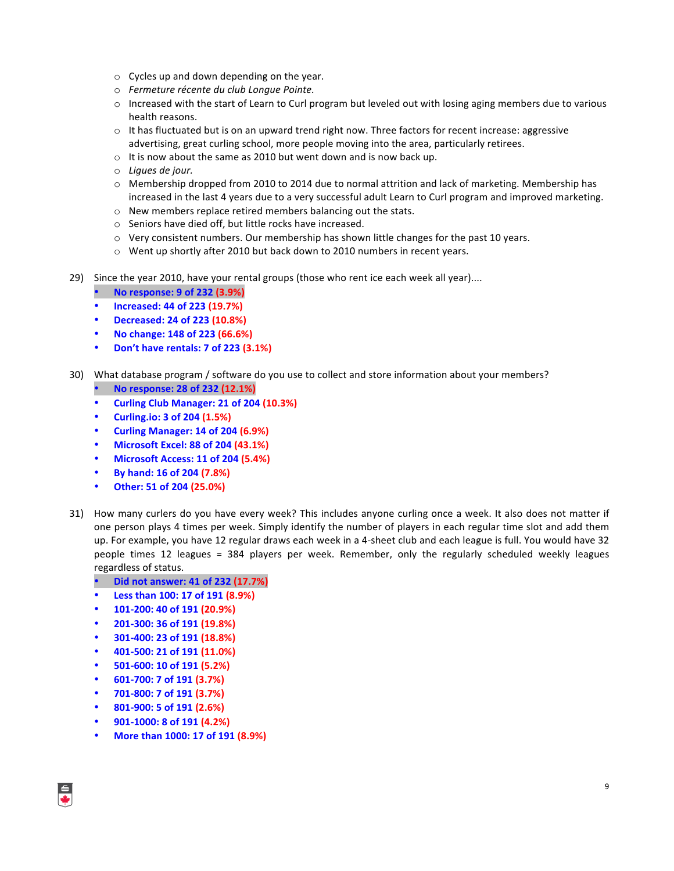- $\circ$  Cycles up and down depending on the year.
- o *Fermeture récente du club Longue Pointe.*
- $\circ$  Increased with the start of Learn to Curl program but leveled out with losing aging members due to various health reasons.
- $\circ$  It has fluctuated but is on an upward trend right now. Three factors for recent increase: aggressive advertising, great curling school, more people moving into the area, particularly retirees.
- $\circ$  It is now about the same as 2010 but went down and is now back up.
- o *Ligues de jour.*
- $\circ$  Membership dropped from 2010 to 2014 due to normal attrition and lack of marketing. Membership has increased in the last 4 years due to a very successful adult Learn to Curl program and improved marketing.
- $\circ$  New members replace retired members balancing out the stats.
- $\circ$  Seniors have died off, but little rocks have increased.
- $\circ$  Very consistent numbers. Our membership has shown little changes for the past 10 years.
- $\circ$  Went up shortly after 2010 but back down to 2010 numbers in recent years.
- 29) Since the year 2010, have your rental groups (those who rent ice each week all year)....
	- **No response: 9 of 232 (3.9%)**
	- **Increased: 44 of 223 (19.7%)**
	- **Decreased: 24 of 223 (10.8%)**
	- **No change: 148 of 223 (66.6%)**
	- **Don't have rentals: 7 of 223 (3.1%)**
- 30) What database program / software do you use to collect and store information about your members? • **No response: 28 of 232 (12.1%)**
	- **Curling Club Manager: 21 of 204 (10.3%)**
	- **Curling.io: 3 of 204 (1.5%)**
	- **Curling Manager: 14 of 204 (6.9%)**
	- **Microsoft Excel: 88 of 204 (43.1%)**
	- **Microsoft Access: 11 of 204 (5.4%)**
	- **By hand: 16 of 204 (7.8%)**
	- **Other: 51 of 204 (25.0%)**
- 31) How many curlers do you have every week? This includes anyone curling once a week. It also does not matter if one person plays 4 times per week. Simply identify the number of players in each regular time slot and add them up. For example, you have 12 regular draws each week in a 4-sheet club and each league is full. You would have 32 people times 12 leagues = 384 players per week. Remember, only the regularly scheduled weekly leagues regardless of status.

## • **Did not answer: 41 of 232 (17.7%)**

- **Less than 100: 17 of 191 (8.9%)**
- **101-200: 40 of 191 (20.9%)**
- **201-300: 36 of 191 (19.8%)**
- **301-400: 23 of 191 (18.8%)**
- **401-500: 21 of 191 (11.0%)**
- **501-600: 10 of 191 (5.2%)**
- **601-700: 7 of 191 (3.7%)**
- **701-800: 7 of 191 (3.7%)**
- **801-900: 5 of 191 (2.6%)**
- **901-1000: 8 of 191 (4.2%)**
- **More than 1000: 17 of 191 (8.9%)**

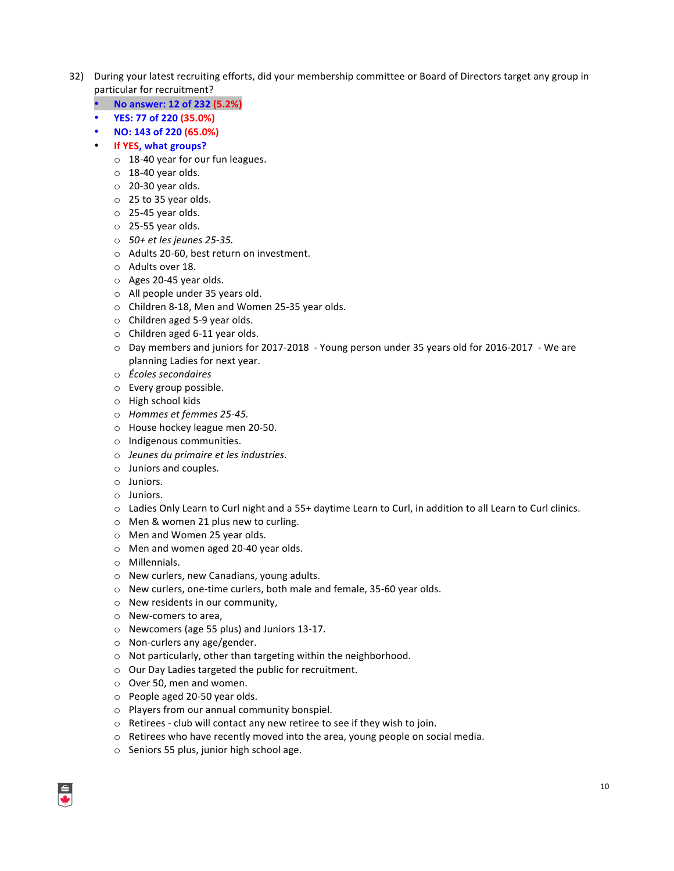- 32) During your latest recruiting efforts, did your membership committee or Board of Directors target any group in particular for recruitment?
	- **No answer: 12 of 232 (5.2%)**
	- **YES: 77 of 220 (35.0%)**
	- **NO: 143 of 220 (65.0%)**
	- **If YES, what groups?** 
		- $\circ$  18-40 year for our fun leagues.
		- $\circ$  18-40 year olds.
		- $\circ$  20-30 year olds.
		- $\circ$  25 to 35 year olds.
		- $\circ$  25-45 year olds.
		- $\circ$  25-55 year olds.
		- o *50+ et les jeunes 25-35.*
		- o Adults 20-60, best return on investment.
		- o Adults over 18.
		- $\circ$  Ages 20-45 year olds.
		- $\circ$  All people under 35 years old.
		- o Children 8-18, Men and Women 25-35 year olds.
		- $\circ$  Children aged 5-9 year olds.
		- $\circ$  Children aged 6-11 year olds.
		- $\circ$  Day members and juniors for 2017-2018 Young person under 35 years old for 2016-2017 We are planning Ladies for next year.
		- o *Écoles secondaires*
		- o Every group possible.
		- o High school kids
		- o *Hommes et femmes 25-45.*
		- o House hockey league men 20-50.
		- o Indigenous communities.
		- o *Jeunes du primaire et les industries.*
		- $\circ$  Juniors and couples.
		- o Juniors.
		- o Juniors.
		- $\circ$  Ladies Only Learn to Curl night and a 55+ daytime Learn to Curl, in addition to all Learn to Curl clinics.
		- $\circ$  Men & women 21 plus new to curling.
		- o Men and Women 25 year olds.
		- $\circ$  Men and women aged 20-40 year olds.
		- o Millennials.
		- o New curlers, new Canadians, young adults.
		- $\circ$  New curlers, one-time curlers, both male and female, 35-60 year olds.
		- $\circ$  New residents in our community,
		- $\circ$  New-comers to area,
		- o Newcomers (age 55 plus) and Juniors 13-17.
		- $\circ$  Non-curlers any age/gender.
		- $\circ$  Not particularly, other than targeting within the neighborhood.
		- o Our Day Ladies targeted the public for recruitment.
		- $\circ$  Over 50, men and women.
		- $\circ$  People aged 20-50 year olds.
		- $\circ$  Players from our annual community bonspiel.
		- $\circ$  Retirees club will contact any new retiree to see if they wish to join.
		- $\circ$  Retirees who have recently moved into the area, young people on social media.
		- $\circ$  Seniors 55 plus, junior high school age.

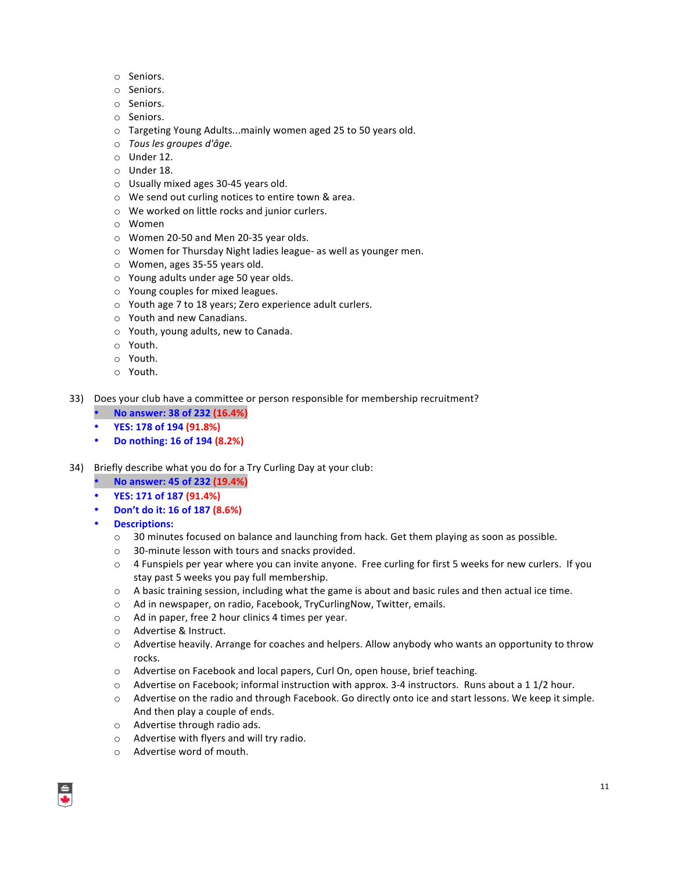- o Seniors.
- o Seniors.
- o Seniors.
- o Seniors.
- $\circ$  Targeting Young Adults...mainly women aged 25 to 50 years old.
- o *Tous les groupes d'âge.*
- $\circ$  Under 12.
- $\circ$  Under 18.
- $\circ$  Usually mixed ages 30-45 years old.
- $\circ$  We send out curling notices to entire town & area.
- $\circ$  We worked on little rocks and junior curlers.
- o Women
- $\circ$  Women 20-50 and Men 20-35 year olds.
- $\circ$  Women for Thursday Night ladies league- as well as younger men.
- $\circ$  Women, ages 35-55 years old.
- $\circ$  Young adults under age 50 year olds.
- $\circ$  Young couples for mixed leagues.
- $\circ$  Youth age 7 to 18 years; Zero experience adult curlers.
- o Youth and new Canadians.
- $\circ$  Youth, young adults, new to Canada.
- o Youth.
- o Youth.
- o Youth.
- 33) Does your club have a committee or person responsible for membership recruitment?
	- **No answer: 38 of 232 (16.4%)**
	- **YES: 178 of 194 (91.8%)**
	- **Do nothing: 16 of 194 (8.2%)**
- 34) Briefly describe what you do for a Try Curling Day at your club:
	- **No answer: 45 of 232 (19.4%)**
	- **YES: 171 of 187 (91.4%)**
	- **Don't do it: 16 of 187 (8.6%)**
	- **Descriptions:**
		- $\circ$  30 minutes focused on balance and launching from hack. Get them playing as soon as possible.
		- $\circ$  30-minute lesson with tours and snacks provided.
		- $\circ$  4 Funspiels per year where you can invite anyone. Free curling for first 5 weeks for new curlers. If you stay past 5 weeks you pay full membership.
		- $\circ$  A basic training session, including what the game is about and basic rules and then actual ice time.
		- o Ad in newspaper, on radio, Facebook, TryCurlingNow, Twitter, emails.
		- $\circ$  Ad in paper, free 2 hour clinics 4 times per year.
		- o Advertise & Instruct.
		- $\circ$  Advertise heavily. Arrange for coaches and helpers. Allow anybody who wants an opportunity to throw rocks.
		- o Advertise on Facebook and local papers, Curl On, open house, brief teaching.
		- $\circ$  Advertise on Facebook; informal instruction with approx. 3-4 instructors. Runs about a 1 1/2 hour.
		- o Advertise on the radio and through Facebook. Go directly onto ice and start lessons. We keep it simple. And then play a couple of ends.
		- $\circ$  Advertise through radio ads.
		- o Advertise with flyers and will try radio.
		- $\circ$  Advertise word of mouth.

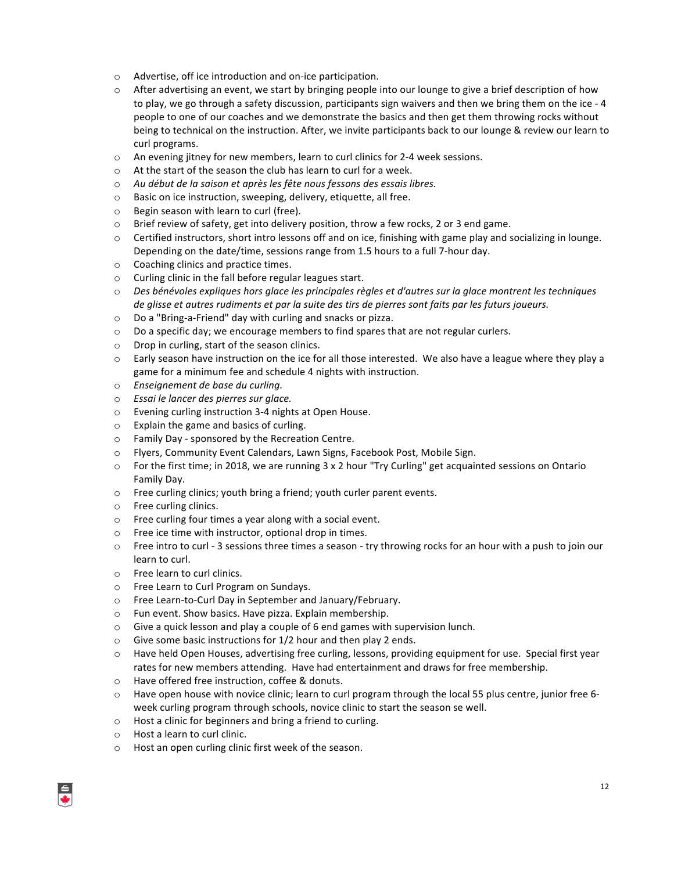- $\circ$  Advertise, off ice introduction and on-ice participation.
- $\circ$  After advertising an event, we start by bringing people into our lounge to give a brief description of how to play, we go through a safety discussion, participants sign waivers and then we bring them on the ice - 4 people to one of our coaches and we demonstrate the basics and then get them throwing rocks without being to technical on the instruction. After, we invite participants back to our lounge & review our learn to curl programs.
- $\circ$  An evening jitney for new members, learn to curl clinics for 2-4 week sessions.
- $\circ$  At the start of the season the club has learn to curl for a week.
- o *Au début de la saison et après les fête nous fessons des essais libres.*
- $\circ$  Basic on ice instruction, sweeping, delivery, etiquette, all free.
- $\circ$  Begin season with learn to curl (free).
- $\circ$  Brief review of safety, get into delivery position, throw a few rocks, 2 or 3 end game.
- $\circ$  Certified instructors, short intro lessons off and on ice, finishing with game play and socializing in lounge. Depending on the date/time, sessions range from 1.5 hours to a full 7-hour day.
- $\circ$  Coaching clinics and practice times.
- $\circ$  Curling clinic in the fall before regular leagues start.
- $\circ$  *Des bénévoles expliques hors glace les principales règles et d'autres sur la glace montrent les techniques de glisse et autres rudiments et par la suite des tirs de pierres sont faits par les futurs joueurs.*
- $\circ$  Do a "Bring-a-Friend" day with curling and snacks or pizza.
- $\circ$  Do a specific day; we encourage members to find spares that are not regular curlers.
- $\circ$  Drop in curling, start of the season clinics.
- $\circ$  Early season have instruction on the ice for all those interested. We also have a league where they play a game for a minimum fee and schedule 4 nights with instruction.
- o *Enseignement de base du curling.*
- o *Essai le lancer des pierres sur glace.*
- $\circ$  Evening curling instruction 3-4 nights at Open House.
- $\circ$  Explain the game and basics of curling.
- $\circ$  Family Day sponsored by the Recreation Centre.
- $\circ$  Flyers, Community Event Calendars, Lawn Signs, Facebook Post, Mobile Sign.
- $\circ$  For the first time; in 2018, we are running 3 x 2 hour "Try Curling" get acquainted sessions on Ontario Family Day.
- $\circ$  Free curling clinics; youth bring a friend; youth curler parent events.
- $\circ$  Free curling clinics.
- $\circ$  Free curling four times a year along with a social event.
- $\circ$  Free ice time with instructor, optional drop in times.
- $\circ$  Free intro to curl 3 sessions three times a season try throwing rocks for an hour with a push to join our learn to curl.
- o Free learn to curl clinics.
- o Free Learn to Curl Program on Sundays.
- o Free Learn-to-Curl Day in September and January/February.
- o Fun event. Show basics. Have pizza. Explain membership.
- $\circ$  Give a quick lesson and play a couple of 6 end games with supervision lunch.
- $\circ$  Give some basic instructions for 1/2 hour and then play 2 ends.
- $\circ$  Have held Open Houses, advertising free curling, lessons, providing equipment for use. Special first year rates for new members attending. Have had entertainment and draws for free membership.
- o Have offered free instruction, coffee & donuts.
- $\circ$  Have open house with novice clinic; learn to curl program through the local 55 plus centre, junior free 6week curling program through schools, novice clinic to start the season se well.
- $\circ$  Host a clinic for beginners and bring a friend to curling.
- $\circ$  Host a learn to curl clinic.
- $\circ$  Host an open curling clinic first week of the season.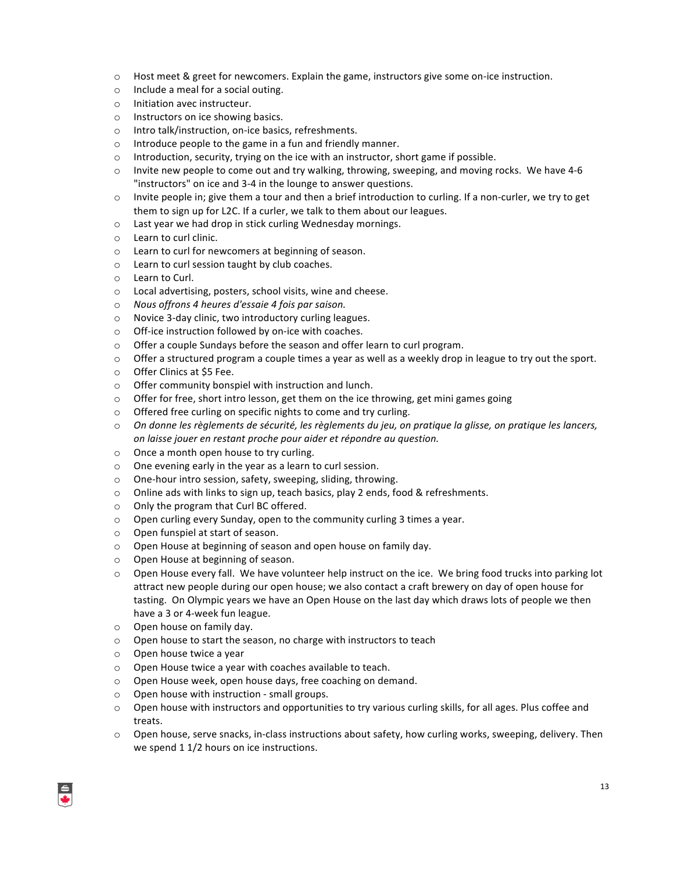- $\circ$  Host meet & greet for newcomers. Explain the game, instructors give some on-ice instruction.
- $\circ$  Include a meal for a social outing.
- o Initiation avec instructeur.
- $\circ$  Instructors on ice showing basics.
- $\circ$  Intro talk/instruction, on-ice basics, refreshments.
- $\circ$  Introduce people to the game in a fun and friendly manner.
- $\circ$  Introduction, security, trying on the ice with an instructor, short game if possible.
- $\circ$  Invite new people to come out and try walking, throwing, sweeping, and moving rocks. We have 4-6 "instructors" on ice and 3-4 in the lounge to answer questions.
- $\circ$  Invite people in; give them a tour and then a brief introduction to curling. If a non-curler, we try to get them to sign up for L2C. If a curler, we talk to them about our leagues.
- o Last year we had drop in stick curling Wednesday mornings.
- o Learn to curl clinic.
- $\circ$  Learn to curl for newcomers at beginning of season.
- $\circ$  Learn to curl session taught by club coaches.
- o Learn to Curl.
- $\circ$  Local advertising, posters, school visits, wine and cheese.
- o *Nous offrons 4 heures d'essaie 4 fois par saison.*
- $\circ$  Novice 3-day clinic, two introductory curling leagues.
- $\circ$  Off-ice instruction followed by on-ice with coaches.
- $\circ$  Offer a couple Sundays before the season and offer learn to curl program.
- $\circ$  Offer a structured program a couple times a year as well as a weekly drop in league to try out the sport.
- o Offer Clinics at \$5 Fee.
- $\circ$  Offer community bonspiel with instruction and lunch.
- $\circ$  Offer for free, short intro lesson, get them on the ice throwing, get mini games going
- $\circ$  Offered free curling on specific nights to come and try curling.
- On donne les règlements de sécurité, les règlements du jeu, on pratique la glisse, on pratique les lancers, *on laisse jouer en restant proche pour aider et répondre au question.*
- $\circ$  Once a month open house to try curling.
- $\circ$  One evening early in the year as a learn to curl session.
- $\circ$  One-hour intro session, safety, sweeping, sliding, throwing.
- $\circ$  Online ads with links to sign up, teach basics, play 2 ends, food & refreshments.
- $\circ$  Only the program that Curl BC offered.
- $\circ$  Open curling every Sunday, open to the community curling 3 times a year.
- o Open funspiel at start of season.
- $\circ$  Open House at beginning of season and open house on family day.
- $\circ$  Open House at beginning of season.
- $\circ$  Open House every fall. We have volunteer help instruct on the ice. We bring food trucks into parking lot attract new people during our open house; we also contact a craft brewery on day of open house for tasting. On Olympic years we have an Open House on the last day which draws lots of people we then have a 3 or 4-week fun league.
- $\circ$  Open house on family day.
- $\circ$  Open house to start the season, no charge with instructors to teach
- o Open house twice a year
- $\circ$  Open House twice a year with coaches available to teach.
- $\circ$  Open House week, open house days, free coaching on demand.
- $\circ$  Open house with instruction small groups.
- $\circ$  Open house with instructors and opportunities to try various curling skills, for all ages. Plus coffee and treats.
- $\circ$  Open house, serve snacks, in-class instructions about safety, how curling works, sweeping, delivery. Then we spend 1 1/2 hours on ice instructions.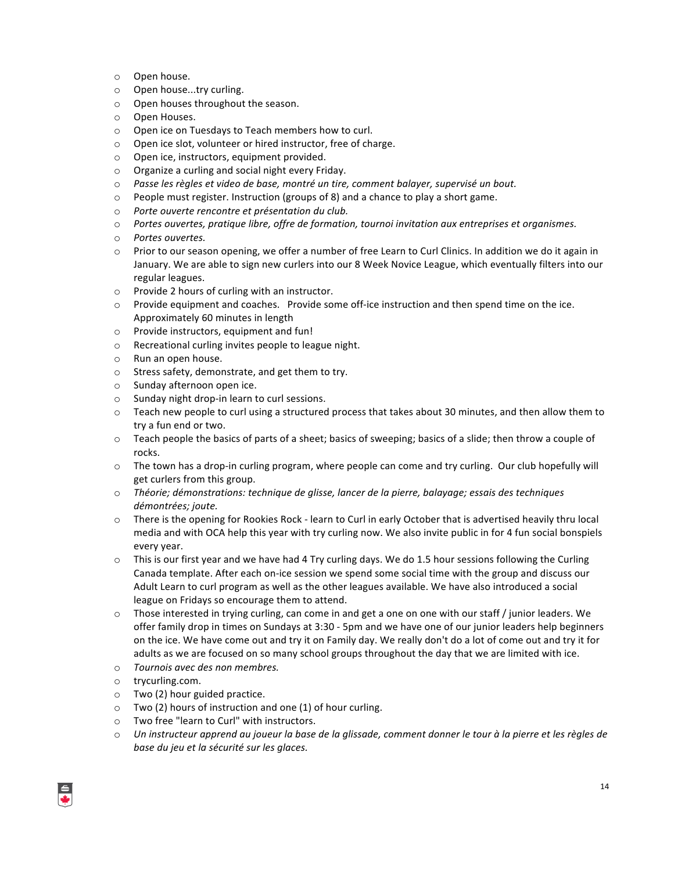- o Open house.
- o Open house...try curling.
- o Open houses throughout the season.
- o Open Houses.
- $\circ$  Open ice on Tuesdays to Teach members how to curl.
- o Open ice slot, volunteer or hired instructor, free of charge.
- $\circ$  Open ice, instructors, equipment provided.
- $\circ$  Organize a curling and social night every Friday.
- $\circ$  Passe les règles et video de base, montré un tire, comment balayer, supervisé un bout.
- $\circ$  People must register. Instruction (groups of 8) and a chance to play a short game.
- o *Porte ouverte rencontre et présentation du club.*
- $\circ$  *Portes ouvertes, pratique libre, offre de formation, tournoi invitation aux entreprises et organismes.*
- o *Portes ouvertes.*
- $\circ$  Prior to our season opening, we offer a number of free Learn to Curl Clinics. In addition we do it again in January. We are able to sign new curlers into our 8 Week Novice League, which eventually filters into our regular leagues.
- o Provide 2 hours of curling with an instructor.
- $\circ$  Provide equipment and coaches. Provide some off-ice instruction and then spend time on the ice. Approximately 60 minutes in length
- o Provide instructors, equipment and fun!
- $\circ$  Recreational curling invites people to league night.
- o Run an open house.
- $\circ$  Stress safety, demonstrate, and get them to try.
- o Sunday afternoon open ice.
- $\circ$  Sunday night drop-in learn to curl sessions.
- $\circ$  Teach new people to curl using a structured process that takes about 30 minutes, and then allow them to try a fun end or two.
- $\circ$  Teach people the basics of parts of a sheet; basics of sweeping; basics of a slide; then throw a couple of rocks.
- $\circ$  The town has a drop-in curling program, where people can come and try curling. Our club hopefully will get curlers from this group.
- o Théorie; démonstrations: technique de glisse, lancer de la pierre, balayage; essais des techniques *démontrées; joute.*
- $\circ$  There is the opening for Rookies Rock learn to Curl in early October that is advertised heavily thru local media and with OCA help this year with try curling now. We also invite public in for 4 fun social bonspiels every year.
- $\circ$  This is our first year and we have had 4 Try curling days. We do 1.5 hour sessions following the Curling Canada template. After each on-ice session we spend some social time with the group and discuss our Adult Learn to curl program as well as the other leagues available. We have also introduced a social league on Fridays so encourage them to attend.
- $\circ$  Those interested in trying curling, can come in and get a one on one with our staff / junior leaders. We offer family drop in times on Sundays at 3:30 - 5pm and we have one of our junior leaders help beginners on the ice. We have come out and try it on Family day. We really don't do a lot of come out and try it for adults as we are focused on so many school groups throughout the day that we are limited with ice.
- o *Tournois avec des non membres.*
- o trycurling.com.
- $\circ$  Two (2) hour guided practice.
- $\circ$  Two (2) hours of instruction and one (1) of hour curling.
- o Two free "learn to Curl" with instructors.
- $\circ$  *Un* instructeur apprend au joueur la base de la glissade, comment donner le tour à la pierre et les règles de *base du jeu et la sécurité sur les glaces.*

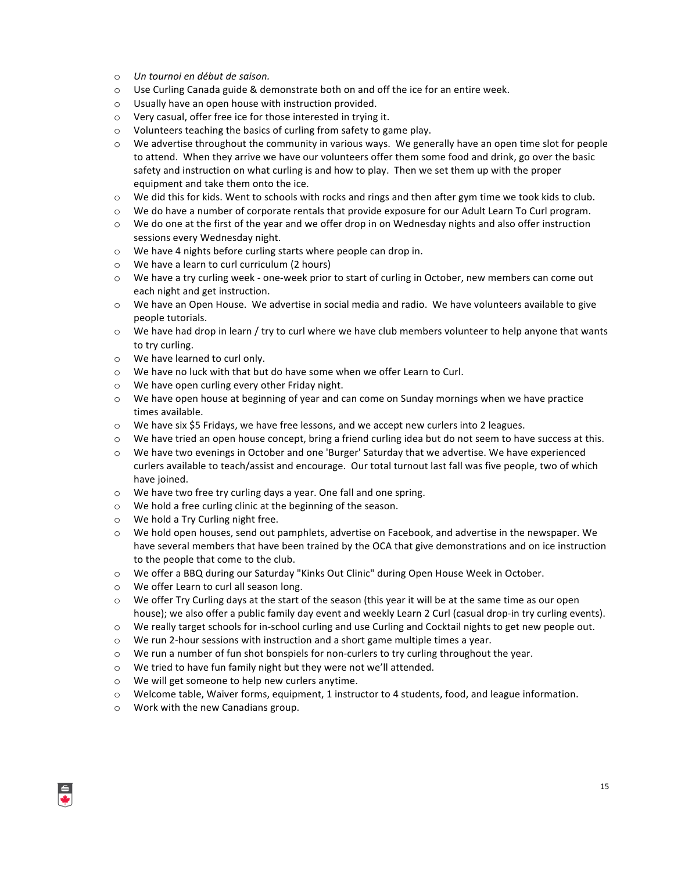- o *Un tournoi en début de saison.*
- $\circ$  Use Curling Canada guide & demonstrate both on and off the ice for an entire week.
- $\circ$  Usually have an open house with instruction provided.
- $\circ$  Very casual, offer free ice for those interested in trying it.
- $\circ$  Volunteers teaching the basics of curling from safety to game play.
- $\circ$  We advertise throughout the community in various ways. We generally have an open time slot for people to attend. When they arrive we have our volunteers offer them some food and drink, go over the basic safety and instruction on what curling is and how to play. Then we set them up with the proper equipment and take them onto the ice.
- $\circ$  We did this for kids. Went to schools with rocks and rings and then after gym time we took kids to club.
- $\circ$  We do have a number of corporate rentals that provide exposure for our Adult Learn To Curl program.
- $\circ$  We do one at the first of the year and we offer drop in on Wednesday nights and also offer instruction sessions every Wednesday night.
- o We have 4 nights before curling starts where people can drop in.
- $\circ$  We have a learn to curl curriculum (2 hours)
- $\circ$  We have a try curling week one-week prior to start of curling in October, new members can come out each night and get instruction.
- $\circ$  We have an Open House. We advertise in social media and radio. We have volunteers available to give people tutorials.
- $\circ$  We have had drop in learn / try to curl where we have club members volunteer to help anyone that wants to try curling.
- $\circ$  We have learned to curl only.
- o We have no luck with that but do have some when we offer Learn to Curl.
- $\circ$  We have open curling every other Friday night.
- $\circ$  We have open house at beginning of year and can come on Sunday mornings when we have practice times available.
- $\circ$  We have six \$5 Fridays, we have free lessons, and we accept new curlers into 2 leagues.
- $\circ$  We have tried an open house concept, bring a friend curling idea but do not seem to have success at this.
- $\circ$  We have two evenings in October and one 'Burger' Saturday that we advertise. We have experienced curlers available to teach/assist and encourage. Our total turnout last fall was five people, two of which have joined.
- $\circ$  We have two free try curling days a year. One fall and one spring.
- $\circ$  We hold a free curling clinic at the beginning of the season.
- $\circ$  We hold a Try Curling night free.
- $\circ$  We hold open houses, send out pamphlets, advertise on Facebook, and advertise in the newspaper. We have several members that have been trained by the OCA that give demonstrations and on ice instruction to the people that come to the club.
- $\circ$  We offer a BBQ during our Saturday "Kinks Out Clinic" during Open House Week in October.
- o We offer Learn to curl all season long.
- $\circ$  We offer Try Curling days at the start of the season (this year it will be at the same time as our open house); we also offer a public family day event and weekly Learn 2 Curl (casual drop-in try curling events).
- $\circ$  We really target schools for in-school curling and use Curling and Cocktail nights to get new people out.
- $\circ$  We run 2-hour sessions with instruction and a short game multiple times a year.
- $\circ$  We run a number of fun shot bonspiels for non-curlers to try curling throughout the year.
- $\circ$  We tried to have fun family night but they were not we'll attended.
- o We will get someone to help new curlers anytime.
- $\circ$  Welcome table, Waiver forms, equipment, 1 instructor to 4 students, food, and league information.
- $\circ$  Work with the new Canadians group.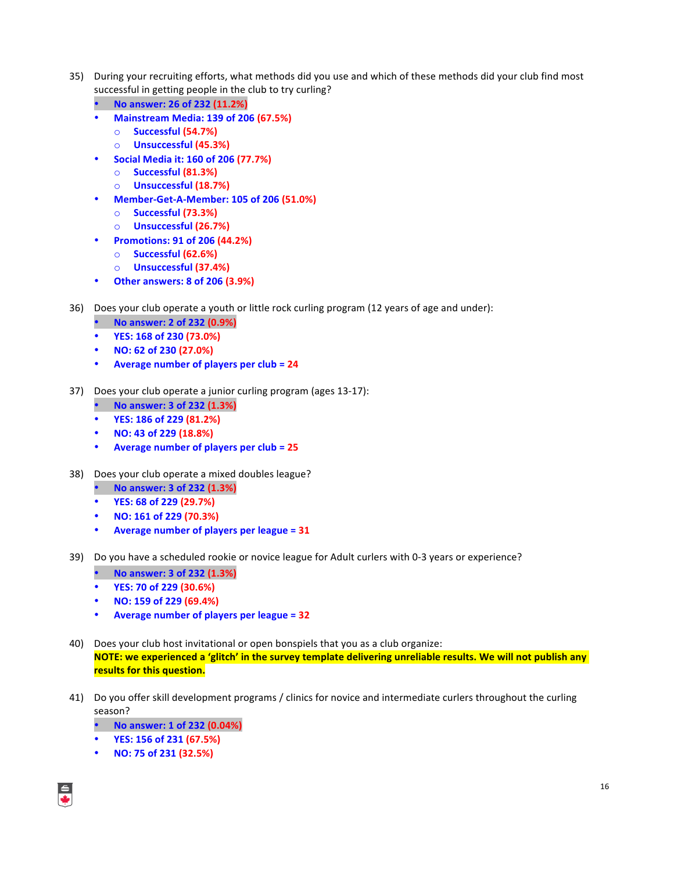- 35) During your recruiting efforts, what methods did you use and which of these methods did your club find most successful in getting people in the club to try curling?
	- **No answer: 26 of 232 (11.2%)**
	- **Mainstream Media: 139 of 206 (67.5%)**
		- o **Successful (54.7%)**
		- o **Unsuccessful (45.3%)**
	- **Social Media it: 160 of 206 (77.7%)**
		- o **Successful (81.3%)**
		- o **Unsuccessful (18.7%)**
	- **Member-Get-A-Member: 105 of 206 (51.0%)**
		- o **Successful (73.3%)**
		- o **Unsuccessful (26.7%)**
	- **Promotions: 91 of 206 (44.2%)**
		- o **Successful (62.6%)**
		- o **Unsuccessful (37.4%)**
	- **Other answers: 8 of 206 (3.9%)**
- 36) Does your club operate a youth or little rock curling program (12 years of age and under):
	- **No answer: 2 of 232 (0.9%)**
	- **YES: 168 of 230 (73.0%)**
	- **NO: 62 of 230 (27.0%)**
	- Average number of players per club = 24
- 37) Does your club operate a junior curling program (ages 13-17):
	- **No answer: 3 of 232 (1.3%)**
	- **YES: 186 of 229 (81.2%)**
	- **NO: 43 of 229 (18.8%)**
	- Average number of players per club = 25
- 38) Does your club operate a mixed doubles league?
	- **No answer: 3 of 232 (1.3%)**
	- **YES: 68 of 229 (29.7%)**
	- **NO: 161 of 229 (70.3%)**
	- **Average number of players per league = 31**
- 39) Do you have a scheduled rookie or novice league for Adult curlers with 0-3 years or experience?
	- **No answer: 3 of 232 (1.3%)**
	- **YES: 70 of 229 (30.6%)**
	- **NO: 159 of 229 (69.4%)**
	- Average number of players per league = 32
- 40) Does your club host invitational or open bonspiels that you as a club organize: **NOTE:** we experienced a 'glitch' in the survey template delivering unreliable results. We will not publish any **results for this question.**
- 41) Do you offer skill development programs / clinics for novice and intermediate curlers throughout the curling season?
	- **No answer: 1 of 232 (0.04%)**
	- **YES: 156 of 231 (67.5%)**
	- **NO: 75 of 231 (32.5%)**

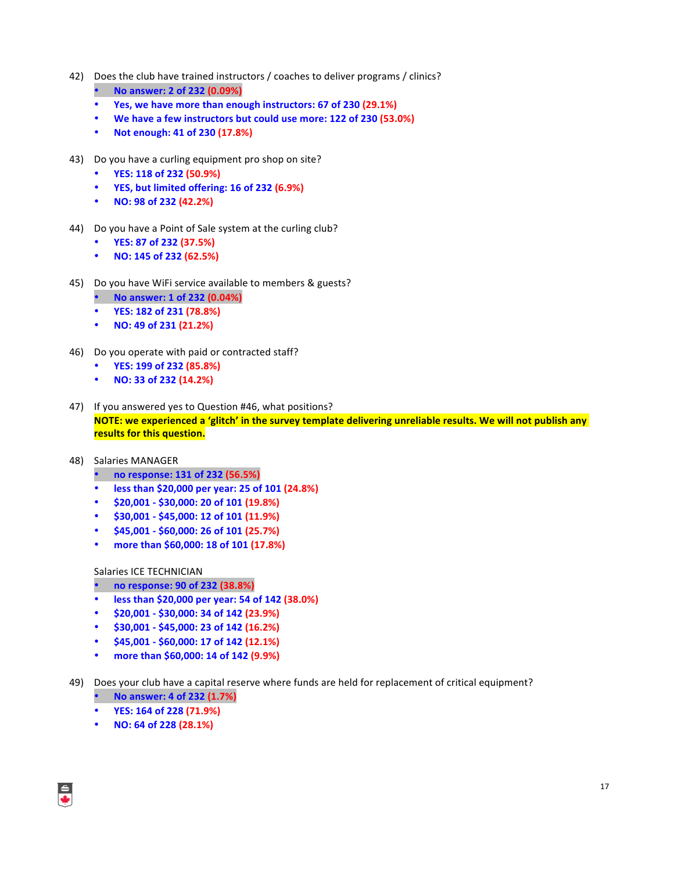- 42) Does the club have trained instructors / coaches to deliver programs / clinics?
	- **No answer: 2 of 232 (0.09%)**
	- Yes, we have more than enough instructors: 67 of 230 (29.1%)
	- **We have a few instructors but could use more: 122 of 230 (53.0%)**
	- **Not enough: 41 of 230 (17.8%)**
- 43) Do you have a curling equipment pro shop on site?
	- **YES: 118 of 232 (50.9%)**
	- **YES, but limited offering: 16 of 232 (6.9%)**
	- **NO: 98 of 232 (42.2%)**
- 44) Do you have a Point of Sale system at the curling club?
	- **YES: 87 of 232 (37.5%)**
	- **NO: 145 of 232 (62.5%)**
- 45) Do you have WiFi service available to members & guests?
	- **No answer: 1 of 232 (0.04%)**
	- **YES: 182 of 231 (78.8%)**
	- **NO: 49 of 231 (21.2%)**
- 46) Do you operate with paid or contracted staff?
	- **YES: 199 of 232 (85.8%)**
	- **NO: 33 of 232 (14.2%)**
- 47) If you answered yes to Question #46, what positions? **NOTE:** we experienced a 'glitch' in the survey template delivering unreliable results. We will not publish any **results for this question.**
- 48) Salaries MANAGER
	- **no response: 131 of 232 (56.5%)**
	- **less than \$20,000 per year: 25 of 101 (24.8%)**
	- **\$20,001 - \$30,000: 20 of 101 (19.8%)**
	- $$30,001 $45,000:12$  of 101 (11.9%)
	- \$45,001 \$60,000: 26 of 101 (25.7%)
	- **more than \$60,000: 18 of 101 (17.8%)**

#### Salaries ICE TECHNICIAN

#### • **no response: 90 of 232 (38.8%)**

- **less than \$20,000 per year: 54 of 142 (38.0%)**
- **\$20,001 - \$30,000: 34 of 142 (23.9%)**
- \$30,001 \$45,000: 23 of 142 (16.2%)
- \$45,001 \$60,000: 17 of 142 (12.1%)
- **more than \$60,000: 14 of 142 (9.9%)**
- 49) Does your club have a capital reserve where funds are held for replacement of critical equipment? • **No answer: 4 of 232 (1.7%)**
	- **YES: 164 of 228 (71.9%)**
	- **NO: 64 of 228 (28.1%)**

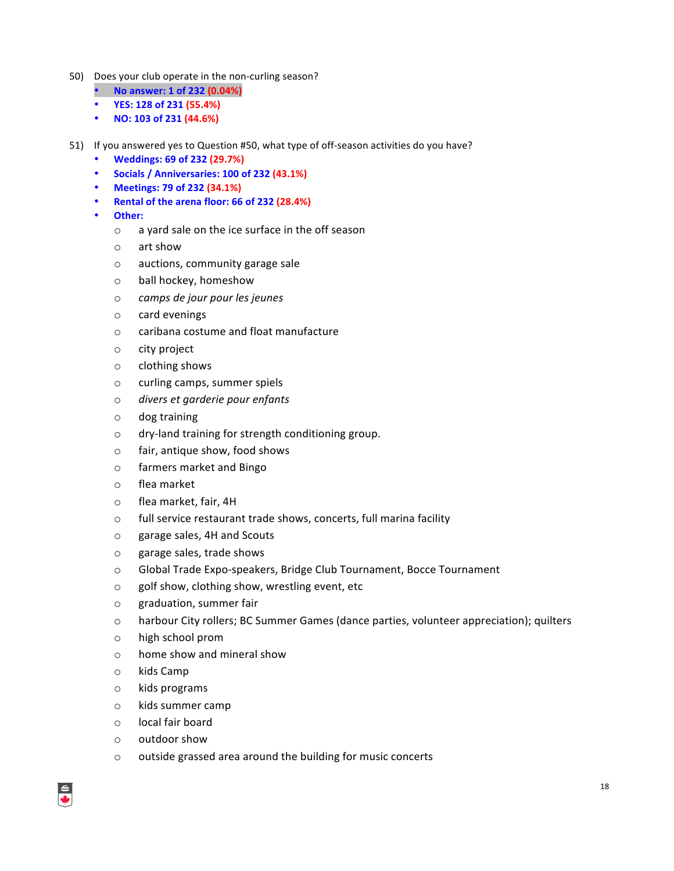- 50) Does your club operate in the non-curling season?
	- **No answer: 1 of 232 (0.04%)**
	- **YES: 128 of 231 (55.4%)**
	- **NO: 103 of 231 (44.6%)**
- 51) If you answered yes to Question #50, what type of off-season activities do you have?
	- **Weddings: 69 of 232 (29.7%)**
	- **Socials / Anniversaries: 100 of 232 (43.1%)**
	- **Meetings: 79 of 232 (34.1%)**
	- **Rental of the arena floor: 66 of 232 (28.4%)**
	- **Other:**
		- $\circ$  a yard sale on the ice surface in the off season
		- $\circ$  art show
		- $\circ$  auctions, community garage sale
		- o ball hockey, homeshow
		- o *camps de jour pour les jeunes*
		- o card evenings
		- o caribana costume and float manufacture
		- $\circ$  city project
		- $\circ$  clothing shows
		- o curling camps, summer spiels
		- o *divers et garderie pour enfants*
		- $\circ$  dog training
		- o dry-land training for strength conditioning group.
		- $\circ$  fair, antique show, food shows
		- o farmers market and Bingo
		- o flea market
		- o flea market, fair, 4H
		- $\circ$  full service restaurant trade shows, concerts, full marina facility
		- o garage sales, 4H and Scouts
		- o garage sales, trade shows
		- $\circ$  Global Trade Expo-speakers, Bridge Club Tournament, Bocce Tournament
		- $\circ$  golf show, clothing show, wrestling event, etc
		- o graduation, summer fair
		- $\circ$  harbour City rollers; BC Summer Games (dance parties, volunteer appreciation); quilters
		- $\circ$  high school prom
		- $\circ$  home show and mineral show
		- o kids Camp
		- o kids programs
		- o kids summer camp
		- $\circ$  local fair board
		- o outdoor show
		- $\circ$  outside grassed area around the building for music concerts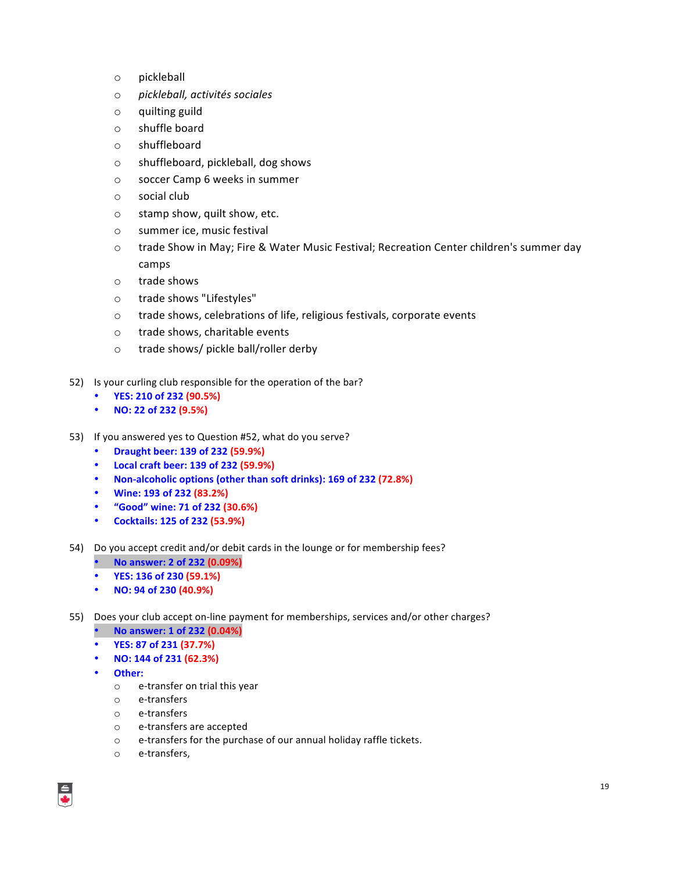- o pickleball
- o *pickleball, activités sociales*
- $\circ$  quilting guild
- $\circ$  shuffle board
- o shuffleboard
- o shuffleboard, pickleball, dog shows
- o soccer Camp 6 weeks in summer
- $\circ$  social club
- $\circ$  stamp show, quilt show, etc.
- o summer ice, music festival
- $\circ$  trade Show in May; Fire & Water Music Festival; Recreation Center children's summer day camps
- $\circ$  trade shows
- o trade shows "Lifestyles"
- $\circ$  trade shows, celebrations of life, religious festivals, corporate events
- o trade shows, charitable events
- $\circ$  trade shows/ pickle ball/roller derby
- 52) Is your curling club responsible for the operation of the bar?
	- **YES: 210 of 232 (90.5%)**
	- **NO: 22 of 232 (9.5%)**
- 53) If you answered yes to Question #52, what do you serve?
	- **Draught beer: 139 of 232 (59.9%)**
	- **Local craft beer: 139 of 232 (59.9%)**
	- **Non-alcoholic options (other than soft drinks): 169 of 232 (72.8%)**
	- **Wine: 193 of 232 (83.2%)**
	- **"Good" wine: 71 of 232 (30.6%)**
	- **Cocktails: 125 of 232 (53.9%)**
- 54) Do you accept credit and/or debit cards in the lounge or for membership fees?
	- **No answer: 2 of 232 (0.09%)**
	- **YES: 136 of 230 (59.1%)**
	- **NO: 94 of 230 (40.9%)**
- 55) Does your club accept on-line payment for memberships, services and/or other charges?
	- **No answer: 1 of 232 (0.04%)**
	- **YES: 87 of 231 (37.7%)**
	- **NO: 144 of 231 (62.3%)**
	- **Other:**
		- o e-transfer on trial this year
		- o e-transfers
		- o e-transfers
		- o e-transfers are accepted
		- $\circ$  e-transfers for the purchase of our annual holiday raffle tickets.
		- o e-transfers,

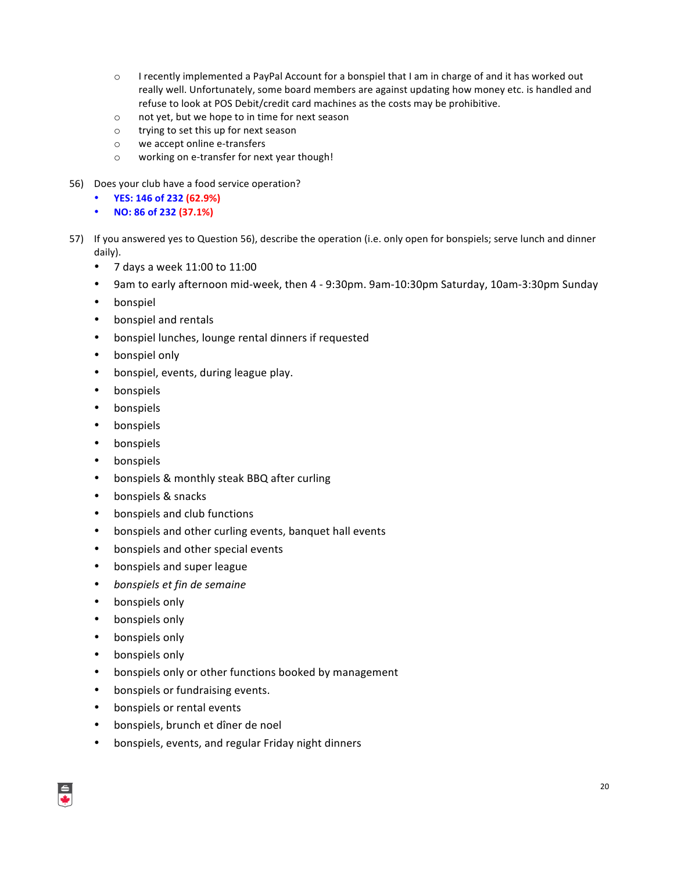- $\circ$  I recently implemented a PayPal Account for a bonspiel that I am in charge of and it has worked out really well. Unfortunately, some board members are against updating how money etc. is handled and refuse to look at POS Debit/credit card machines as the costs may be prohibitive.
- o not yet, but we hope to in time for next season
- $\circ$  trying to set this up for next season
- o we accept online e-transfers
- o working on e-transfer for next year though!
- 56) Does your club have a food service operation?
	- **YES: 146 of 232 (62.9%)**
	- **NO: 86 of 232 (37.1%)**
- 57) If you answered yes to Question 56), describe the operation (i.e. only open for bonspiels; serve lunch and dinner daily).
	- 7 days a week  $11:00$  to  $11:00$
	- 9am to early afternoon mid-week, then 4 9:30pm. 9am-10:30pm Saturday, 10am-3:30pm Sunday
	- bonspiel
	- bonspiel and rentals
	- bonspiel lunches, lounge rental dinners if requested
	- bonspiel only
	- bonspiel, events, during league play.
	- bonspiels
	- bonspiels
	- bonspiels
	- bonspiels
	- bonspiels
	- bonspiels & monthly steak BBQ after curling
	- bonspiels & snacks
	- bonspiels and club functions
	- bonspiels and other curling events, banquet hall events
	- bonspiels and other special events
	- bonspiels and super league
	- *bonspiels et fin de semaine*
	- bonspiels only
	- bonspiels only
	- bonspiels only
	- bonspiels only
	- bonspiels only or other functions booked by management
	- bonspiels or fundraising events.
	- bonspiels or rental events
	- bonspiels, brunch et dîner de noel
	- bonspiels, events, and regular Friday night dinners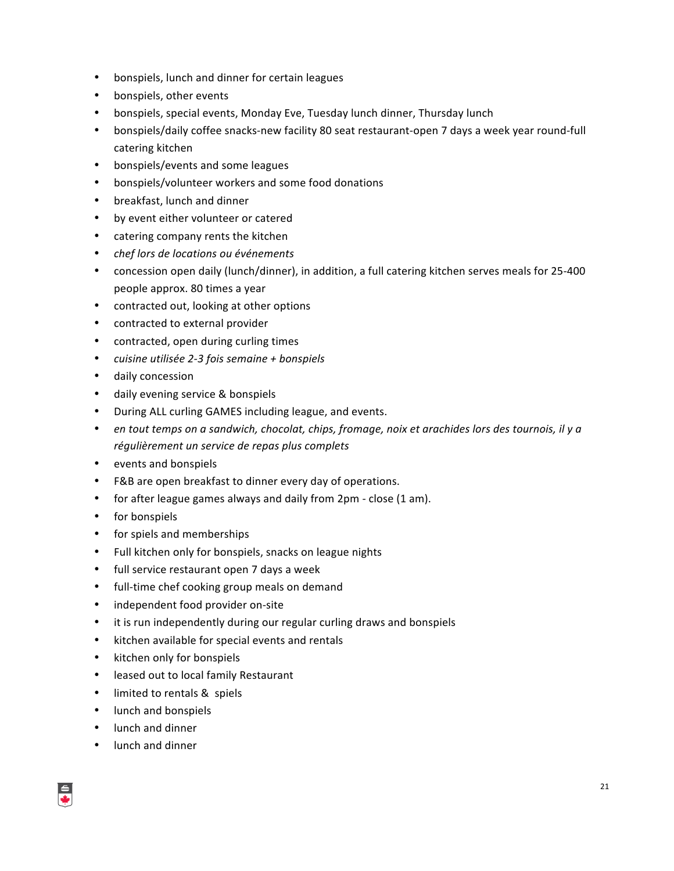- bonspiels, lunch and dinner for certain leagues
- bonspiels, other events
- bonspiels, special events, Monday Eve, Tuesday lunch dinner, Thursday lunch
- bonspiels/daily coffee snacks-new facility 80 seat restaurant-open 7 days a week year round-full catering kitchen
- bonspiels/events and some leagues
- bonspiels/volunteer workers and some food donations
- breakfast, lunch and dinner
- by event either volunteer or catered
- catering company rents the kitchen
- *chef lors de locations ou événements*
- concession open daily (lunch/dinner), in addition, a full catering kitchen serves meals for 25-400 people approx. 80 times a year
- contracted out, looking at other options
- contracted to external provider
- contracted, open during curling times
- *cuisine utilisée 2-3 fois semaine + bonspiels*
- daily concession
- daily evening service & bonspiels
- During ALL curling GAMES including league, and events.
- en tout temps on a sandwich, chocolat, chips, fromage, noix et arachides lors des tournois, il y a régulièrement un service de repas plus complets
- events and bonspiels
- F&B are open breakfast to dinner every day of operations.
- for after league games always and daily from 2pm close (1 am).
- for bonspiels
- for spiels and memberships
- Full kitchen only for bonspiels, snacks on league nights
- full service restaurant open 7 days a week
- full-time chef cooking group meals on demand
- independent food provider on-site
- it is run independently during our regular curling draws and bonspiels
- kitchen available for special events and rentals
- kitchen only for bonspiels
- leased out to local family Restaurant
- limited to rentals & spiels
- lunch and bonspiels
- lunch and dinner
- lunch and dinner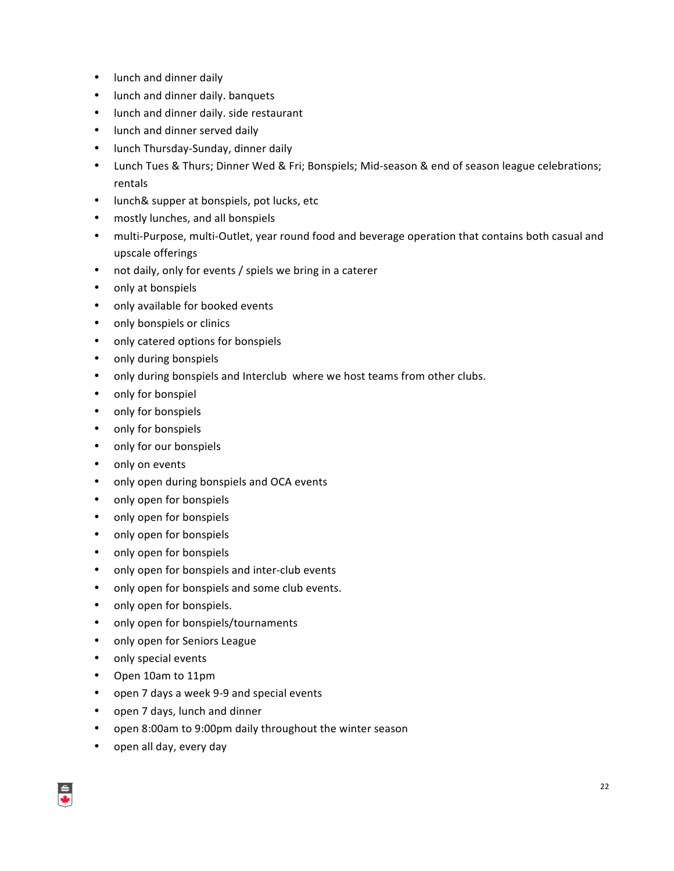- lunch and dinner daily
- lunch and dinner daily. banquets
- lunch and dinner daily. side restaurant
- lunch and dinner served daily
- lunch Thursday-Sunday, dinner daily
- Lunch Tues & Thurs; Dinner Wed & Fri; Bonspiels; Mid-season & end of season league celebrations; rentals
- lunch& supper at bonspiels, pot lucks, etc
- mostly lunches, and all bonspiels
- multi-Purpose, multi-Outlet, year round food and beverage operation that contains both casual and upscale offerings
- not daily, only for events / spiels we bring in a caterer
- only at bonspiels
- only available for booked events
- only bonspiels or clinics
- only catered options for bonspiels
- only during bonspiels
- only during bonspiels and Interclub where we host teams from other clubs.
- only for bonspiel
- only for bonspiels
- only for bonspiels
- only for our bonspiels
- only on events
- only open during bonspiels and OCA events
- only open for bonspiels
- only open for bonspiels
- only open for bonspiels
- only open for bonspiels
- only open for bonspiels and inter-club events
- only open for bonspiels and some club events.
- only open for bonspiels.
- only open for bonspiels/tournaments
- only open for Seniors League
- only special events
- Open 10am to 11pm
- open 7 days a week 9-9 and special events
- open 7 days, lunch and dinner
- open 8:00am to 9:00pm daily throughout the winter season
- open all day, every day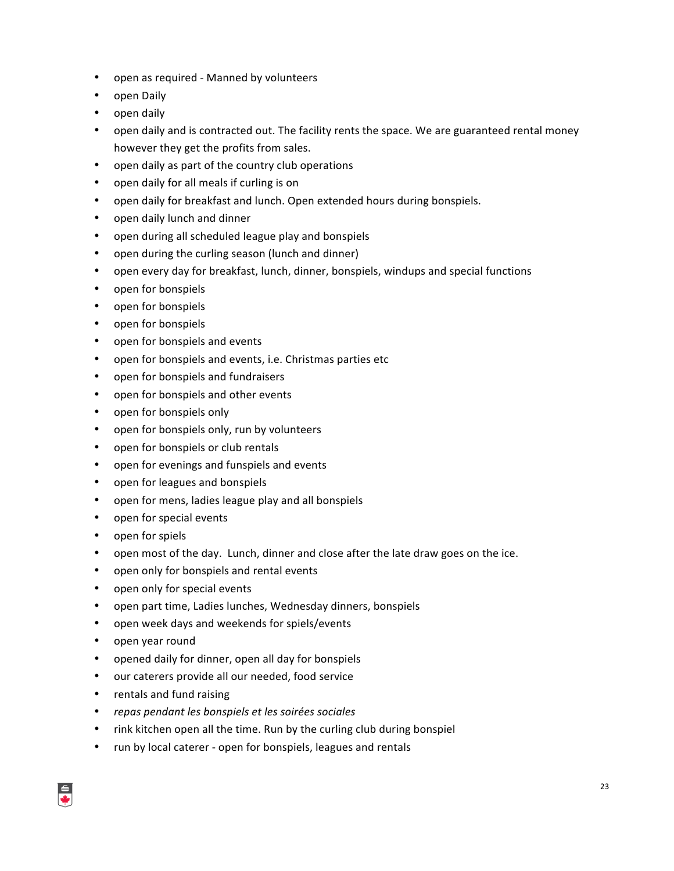- open as required Manned by volunteers
- open Daily
- open daily
- open daily and is contracted out. The facility rents the space. We are guaranteed rental money however they get the profits from sales.
- open daily as part of the country club operations
- open daily for all meals if curling is on
- open daily for breakfast and lunch. Open extended hours during bonspiels.
- open daily lunch and dinner
- open during all scheduled league play and bonspiels
- open during the curling season (lunch and dinner)
- open every day for breakfast, lunch, dinner, bonspiels, windups and special functions
- open for bonspiels
- open for bonspiels
- open for bonspiels
- open for bonspiels and events
- open for bonspiels and events, i.e. Christmas parties etc
- open for bonspiels and fundraisers
- open for bonspiels and other events
- open for bonspiels only
- open for bonspiels only, run by volunteers
- open for bonspiels or club rentals
- open for evenings and funspiels and events
- open for leagues and bonspiels
- open for mens, ladies league play and all bonspiels
- open for special events
- open for spiels
- open most of the day. Lunch, dinner and close after the late draw goes on the ice.
- open only for bonspiels and rental events
- open only for special events
- open part time, Ladies lunches, Wednesday dinners, bonspiels
- open week days and weekends for spiels/events
- open year round
- opened daily for dinner, open all day for bonspiels
- our caterers provide all our needed, food service
- rentals and fund raising
- *repas pendant les bonspiels et les soirées sociales*
- rink kitchen open all the time. Run by the curling club during bonspiel
- run by local caterer open for bonspiels, leagues and rentals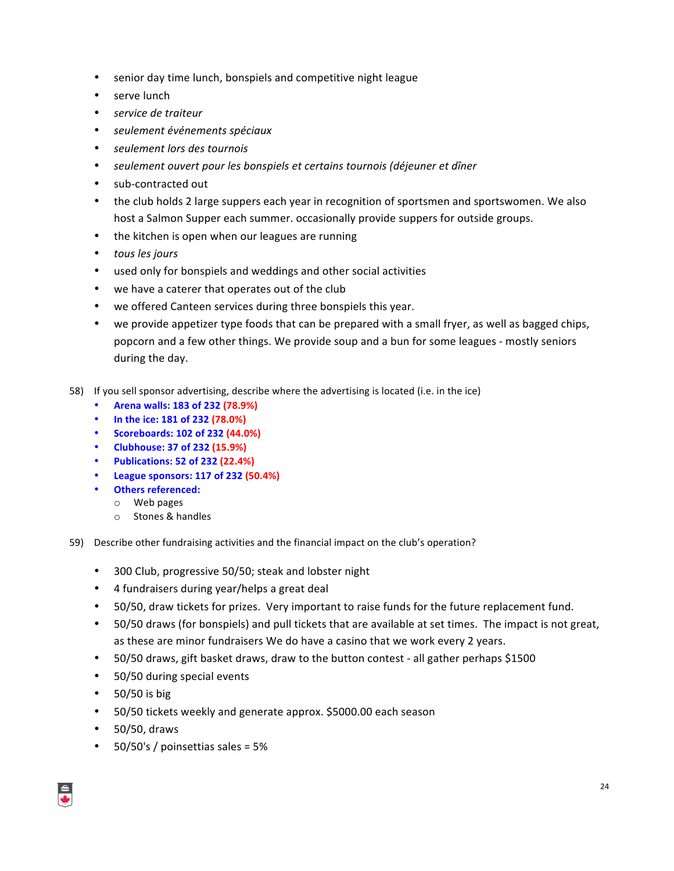- senior day time lunch, bonspiels and competitive night league
- serve lunch
- *service de traiteur*
- *seulement événements spéciaux*
- *seulement lors des tournois*
- seulement ouvert pour les bonspiels et certains tournois (déjeuner et dîner
- sub-contracted out
- the club holds 2 large suppers each year in recognition of sportsmen and sportswomen. We also host a Salmon Supper each summer. occasionally provide suppers for outside groups.
- the kitchen is open when our leagues are running
- *tous les jours*
- used only for bonspiels and weddings and other social activities
- we have a caterer that operates out of the club
- we offered Canteen services during three bonspiels this year.
- we provide appetizer type foods that can be prepared with a small fryer, as well as bagged chips, popcorn and a few other things. We provide soup and a bun for some leagues - mostly seniors during the day.
- 58) If you sell sponsor advertising, describe where the advertising is located (i.e. in the ice)
	- **Arena walls: 183 of 232 (78.9%)**
	- **In the ice: 181 of 232 (78.0%)**
	- **•** Scoreboards: 102 of 232 (44.0%)
	- **Clubhouse: 37 of 232 (15.9%)**
	- **Publications: 52 of 232 (22.4%)**
	- **League sponsors: 117 of 232 (50.4%)**
	- **•** Others referenced:
		- o Web pages
		- o Stones & handles
- 59) Describe other fundraising activities and the financial impact on the club's operation?
	- 300 Club, progressive 50/50; steak and lobster night
	- 4 fundraisers during year/helps a great deal
	- 50/50, draw tickets for prizes. Very important to raise funds for the future replacement fund.
	- 50/50 draws (for bonspiels) and pull tickets that are available at set times. The impact is not great, as these are minor fundraisers We do have a casino that we work every 2 years.
	- 50/50 draws, gift basket draws, draw to the button contest all gather perhaps \$1500
	- 50/50 during special events
	- 50/50 is big
	- 50/50 tickets weekly and generate approx. \$5000.00 each season
	- $\cdot$  50/50, draws
	- $50/50$ 's / poinsettias sales =  $5%$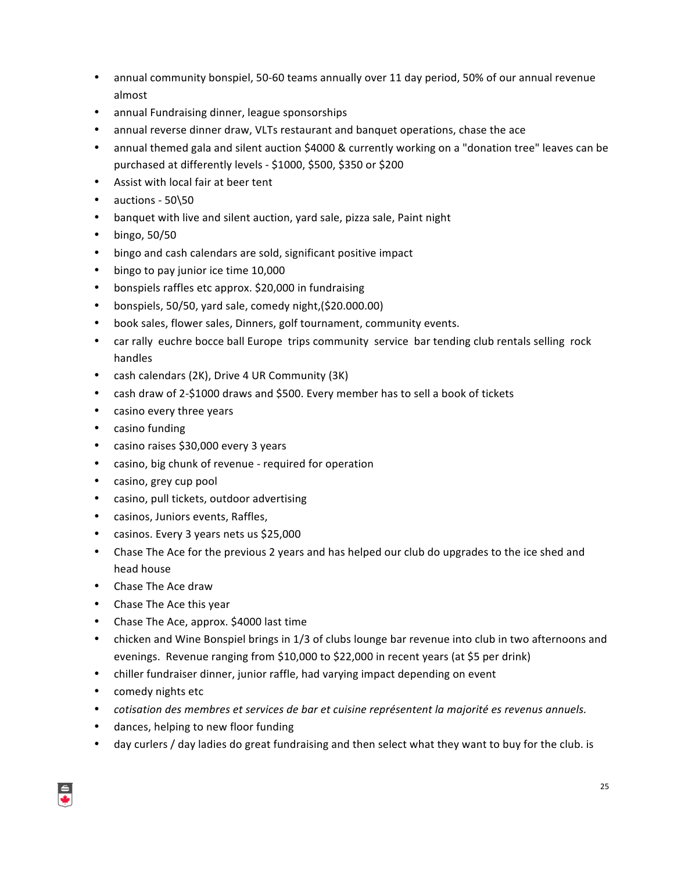- annual community bonspiel, 50-60 teams annually over 11 day period, 50% of our annual revenue almost
- annual Fundraising dinner, league sponsorships
- annual reverse dinner draw, VLTs restaurant and banquet operations, chase the ace
- annual themed gala and silent auction \$4000 & currently working on a "donation tree" leaves can be purchased at differently levels - \$1000, \$500, \$350 or \$200
- Assist with local fair at beer tent
- auctions 50\50
- banquet with live and silent auction, yard sale, pizza sale, Paint night
- bingo, 50/50
- bingo and cash calendars are sold, significant positive impact
- bingo to pay junior ice time 10,000
- bonspiels raffles etc approx. \$20,000 in fundraising
- bonspiels, 50/50, yard sale, comedy night,(\$20.000.00)
- book sales, flower sales, Dinners, golf tournament, community events.
- car rally euchre bocce ball Europe trips community service bar tending club rentals selling rock handles
- cash calendars (2K), Drive 4 UR Community (3K)
- cash draw of 2-\$1000 draws and \$500. Every member has to sell a book of tickets
- casino every three years
- casino funding
- casino raises \$30,000 every 3 years
- casino, big chunk of revenue required for operation
- casino, grey cup pool
- casino, pull tickets, outdoor advertising
- casinos, Juniors events, Raffles,
- casinos. Every 3 years nets us \$25,000
- Chase The Ace for the previous 2 years and has helped our club do upgrades to the ice shed and head house
- Chase The Ace draw
- Chase The Ace this year
- Chase The Ace, approx. \$4000 last time
- chicken and Wine Bonspiel brings in 1/3 of clubs lounge bar revenue into club in two afternoons and evenings. Revenue ranging from \$10,000 to \$22,000 in recent years (at \$5 per drink)
- chiller fundraiser dinner, junior raffle, had varying impact depending on event
- comedy nights etc
- *cotisation des membres et services de bar et cuisine représentent la majorité es revenus annuels.*
- dances, helping to new floor funding
- day curlers / day ladies do great fundraising and then select what they want to buy for the club. is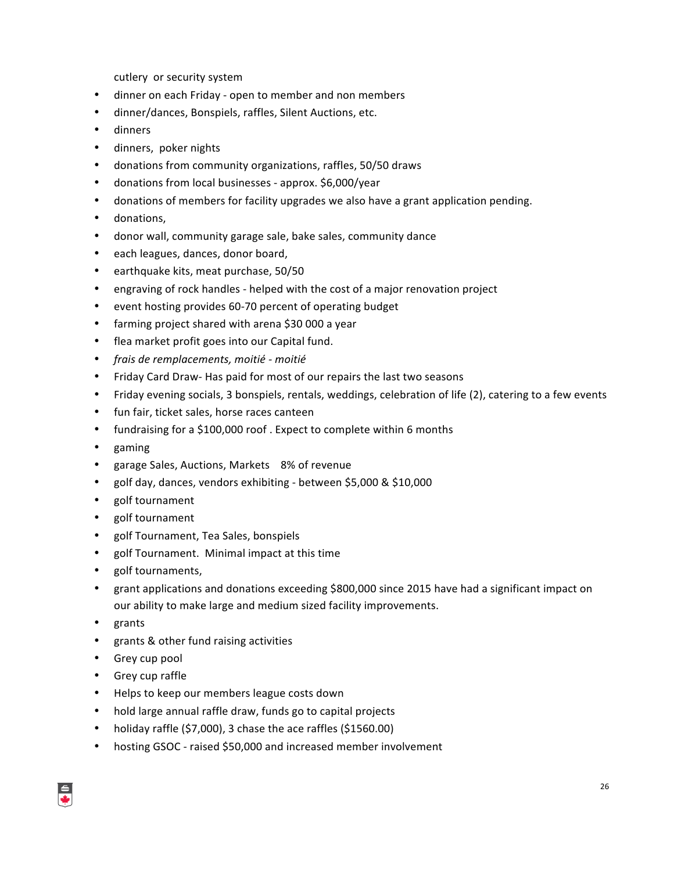cutlery or security system

- dinner on each Friday open to member and non members
- dinner/dances, Bonspiels, raffles, Silent Auctions, etc.
- dinners
- dinners, poker nights
- donations from community organizations, raffles, 50/50 draws
- donations from local businesses approx. \$6,000/year
- donations of members for facility upgrades we also have a grant application pending.
- donations,
- donor wall, community garage sale, bake sales, community dance
- each leagues, dances, donor board,
- earthquake kits, meat purchase, 50/50
- engraving of rock handles helped with the cost of a major renovation project
- event hosting provides 60-70 percent of operating budget
- farming project shared with arena \$30 000 a year
- flea market profit goes into our Capital fund.
- *frais de remplacements, moitié - moitié*
- Friday Card Draw- Has paid for most of our repairs the last two seasons
- Friday evening socials, 3 bonspiels, rentals, weddings, celebration of life (2), catering to a few events
- fun fair, ticket sales, horse races canteen
- fundraising for a \$100,000 roof. Expect to complete within 6 months
- gaming
- garage Sales, Auctions, Markets 8% of revenue
- golf day, dances, vendors exhibiting between \$5,000 & \$10,000
- golf tournament
- golf tournament
- golf Tournament, Tea Sales, bonspiels
- golf Tournament. Minimal impact at this time
- golf tournaments,
- grant applications and donations exceeding \$800,000 since 2015 have had a significant impact on our ability to make large and medium sized facility improvements.
- grants
- grants & other fund raising activities
- Grey cup pool
- Grey cup raffle
- Helps to keep our members league costs down
- hold large annual raffle draw, funds go to capital projects
- holiday raffle  $(57,000)$ , 3 chase the ace raffles  $(51560.00)$
- hosting GSOC raised \$50,000 and increased member involvement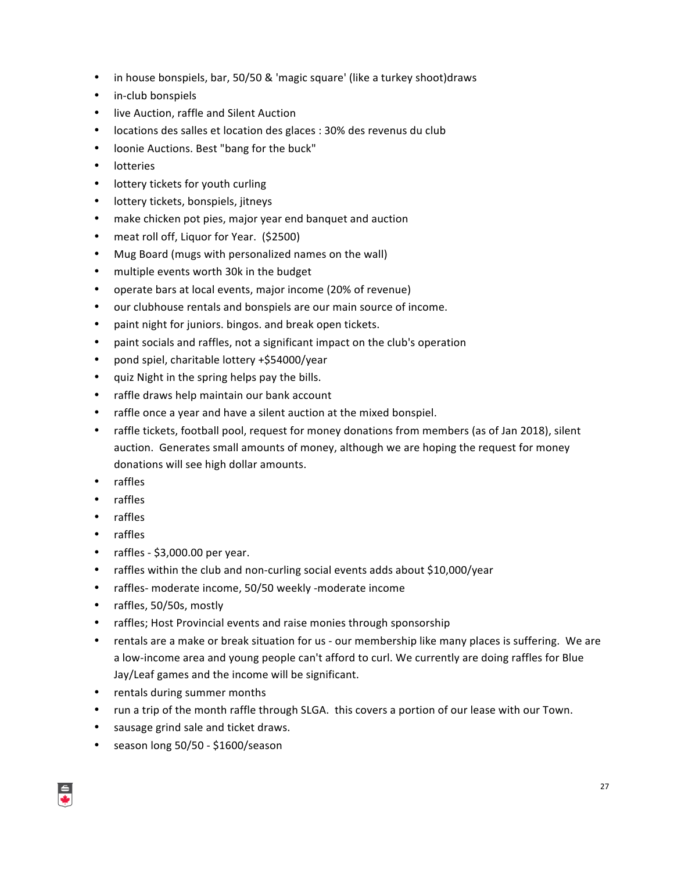- in house bonspiels, bar, 50/50 & 'magic square' (like a turkey shoot)draws
- in-club bonspiels
- live Auction, raffle and Silent Auction
- locations des salles et location des glaces : 30% des revenus du club
- loonie Auctions. Best "bang for the buck"
- lotteries
- lottery tickets for youth curling
- lottery tickets, bonspiels, jitneys
- make chicken pot pies, major year end banquet and auction
- meat roll off, Liquor for Year. (\$2500)
- Mug Board (mugs with personalized names on the wall)
- multiple events worth 30k in the budget
- operate bars at local events, major income (20% of revenue)
- our clubhouse rentals and bonspiels are our main source of income.
- paint night for juniors. bingos. and break open tickets.
- paint socials and raffles, not a significant impact on the club's operation
- pond spiel, charitable lottery +\$54000/year
- quiz Night in the spring helps pay the bills.
- raffle draws help maintain our bank account
- raffle once a year and have a silent auction at the mixed bonspiel.
- raffle tickets, football pool, request for money donations from members (as of Jan 2018), silent auction. Generates small amounts of money, although we are hoping the request for money donations will see high dollar amounts.
- raffles
- raffles
- raffles
- raffles
- raffles  $$3,000.00$  per year.
- raffles within the club and non-curling social events adds about \$10,000/year
- raffles- moderate income, 50/50 weekly -moderate income
- raffles, 50/50s, mostly
- raffles; Host Provincial events and raise monies through sponsorship
- rentals are a make or break situation for us our membership like many places is suffering. We are a low-income area and young people can't afford to curl. We currently are doing raffles for Blue Jay/Leaf games and the income will be significant.
- rentals during summer months
- run a trip of the month raffle through SLGA. this covers a portion of our lease with our Town.
- sausage grind sale and ticket draws.
- season long 50/50 \$1600/season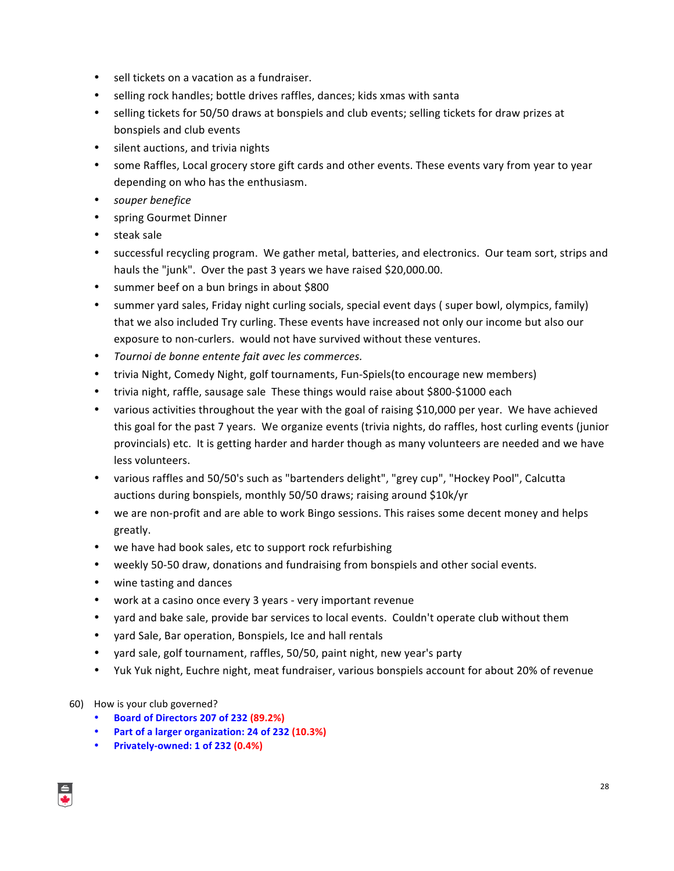- sell tickets on a vacation as a fundraiser.
- selling rock handles; bottle drives raffles, dances; kids xmas with santa
- selling tickets for 50/50 draws at bonspiels and club events; selling tickets for draw prizes at bonspiels and club events
- silent auctions, and trivia nights
- some Raffles, Local grocery store gift cards and other events. These events vary from year to year depending on who has the enthusiasm.
- *souper benefice*
- spring Gourmet Dinner
- steak sale
- successful recycling program. We gather metal, batteries, and electronics. Our team sort, strips and hauls the "junk". Over the past 3 years we have raised \$20,000.00.
- summer beef on a bun brings in about \$800
- summer yard sales, Friday night curling socials, special event days ( super bowl, olympics, family) that we also included Try curling. These events have increased not only our income but also our exposure to non-curlers. would not have survived without these ventures.
- Tournoi de bonne entente fait avec les commerces.
- trivia Night, Comedy Night, golf tournaments, Fun-Spiels(to encourage new members)
- trivia night, raffle, sausage sale These things would raise about \$800-\$1000 each
- various activities throughout the year with the goal of raising \$10,000 per year. We have achieved this goal for the past 7 years. We organize events (trivia nights, do raffles, host curling events (junior provincials) etc. It is getting harder and harder though as many volunteers are needed and we have less volunteers.
- various raffles and 50/50's such as "bartenders delight", "grey cup", "Hockey Pool", Calcutta auctions during bonspiels, monthly 50/50 draws; raising around \$10k/yr
- we are non-profit and are able to work Bingo sessions. This raises some decent money and helps greatly.
- we have had book sales, etc to support rock refurbishing
- weekly 50-50 draw, donations and fundraising from bonspiels and other social events.
- wine tasting and dances
- work at a casino once every 3 years very important revenue
- yard and bake sale, provide bar services to local events. Couldn't operate club without them
- yard Sale, Bar operation, Bonspiels, Ice and hall rentals
- yard sale, golf tournament, raffles, 50/50, paint night, new year's party
- Yuk Yuk night, Euchre night, meat fundraiser, various bonspiels account for about 20% of revenue
- 60) How is your club governed?
	- **Board of Directors 207 of 232 (89.2%)**
	- **Part of a larger organization: 24 of 232 (10.3%)**
	- **Privately-owned: 1 of 232 (0.4%)**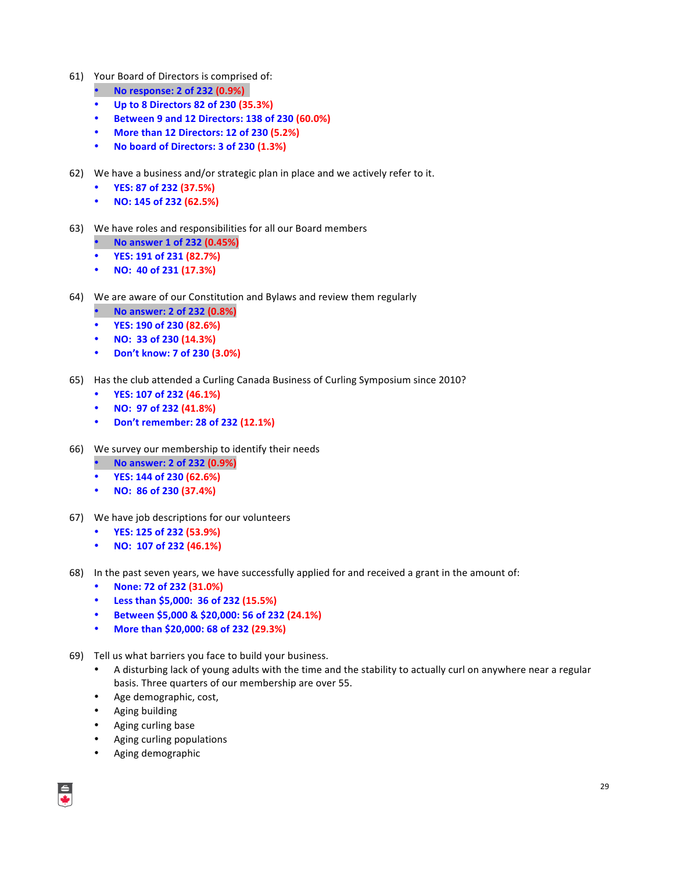- 61) Your Board of Directors is comprised of:
	- **No response: 2 of 232 (0.9%)**
	- **Up to 8 Directors 82 of 230 (35.3%)**
	- **Between 9 and 12 Directors: 138 of 230 (60.0%)**
	- **More than 12 Directors: 12 of 230 (5.2%)**
	- No board of Directors: 3 of 230 (1.3%)
- 62) We have a business and/or strategic plan in place and we actively refer to it.
	- **YES: 87 of 232 (37.5%)**
	- **NO: 145 of 232 (62.5%)**
- 63) We have roles and responsibilities for all our Board members
	- **No answer 1 of 232 (0.45%)**
	- **YES: 191 of 231 (82.7%)**
	- **NO: 40 of 231 (17.3%)**
- 64) We are aware of our Constitution and Bylaws and review them regularly
	- **No answer: 2 of 232 (0.8%)**
	- **YES: 190 of 230 (82.6%)**
	- **NO: 33 of 230 (14.3%)**
	- **Don't know: 7 of 230 (3.0%)**
- 65) Has the club attended a Curling Canada Business of Curling Symposium since 2010?
	- **YES: 107 of 232 (46.1%)**
	- **NO: 97 of 232 (41.8%)**
	- **Don't remember: 28 of 232 (12.1%)**
- 66) We survey our membership to identify their needs
	- **No answer: 2 of 232 (0.9%)**
	- **YES: 144 of 230 (62.6%)**
	- **NO: 86 of 230 (37.4%)**
- 67) We have job descriptions for our volunteers
	- **YES: 125 of 232 (53.9%)**
	- **NO: 107 of 232 (46.1%)**
- 68) In the past seven years, we have successfully applied for and received a grant in the amount of:
	- **None: 72 of 232 (31.0%)**
	- **Less than \$5,000: 36 of 232 (15.5%)**
	- **Between \$5,000 & \$20,000: 56 of 232 (24.1%)**
	- **More than \$20,000: 68 of 232 (29.3%)**
- 69) Tell us what barriers you face to build your business.
	- A disturbing lack of young adults with the time and the stability to actually curl on anywhere near a regular basis. Three quarters of our membership are over 55.
	- Age demographic, cost,
	- Aging building
	- Aging curling base
	- Aging curling populations
	- Aging demographic

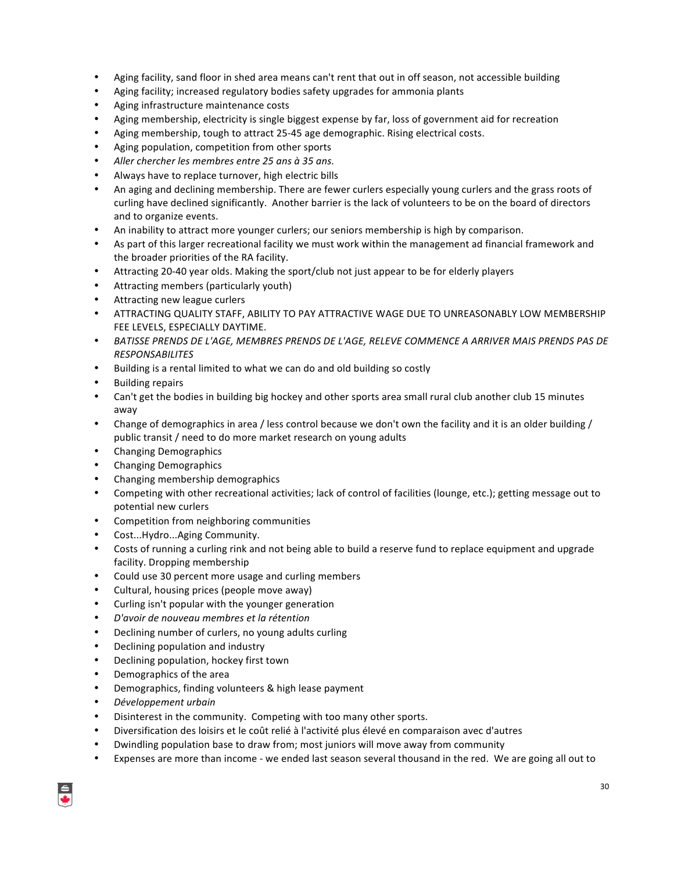- Aging facility, sand floor in shed area means can't rent that out in off season, not accessible building
- Aging facility; increased regulatory bodies safety upgrades for ammonia plants
- Aging infrastructure maintenance costs
- Aging membership, electricity is single biggest expense by far, loss of government aid for recreation
- Aging membership, tough to attract 25-45 age demographic. Rising electrical costs.
- Aging population, competition from other sports
- Aller chercher les membres entre 25 ans à 35 ans.
- Always have to replace turnover, high electric bills
- An aging and declining membership. There are fewer curlers especially young curlers and the grass roots of curling have declined significantly. Another barrier is the lack of volunteers to be on the board of directors and to organize events.
- An inability to attract more younger curlers; our seniors membership is high by comparison.
- As part of this larger recreational facility we must work within the management ad financial framework and the broader priorities of the RA facility.
- Attracting 20-40 year olds. Making the sport/club not just appear to be for elderly players
- Attracting members (particularly youth)
- Attracting new league curlers
- ATTRACTING QUALITY STAFF, ABILITY TO PAY ATTRACTIVE WAGE DUE TO UNREASONABLY LOW MEMBERSHIP FEE LEVELS, ESPECIALLY DAYTIME.
- BATISSE PRENDS DE L'AGE, MEMBRES PRENDS DE L'AGE, RELEVE COMMENCE A ARRIVER MAIS PRENDS PAS DE *RESPONSABILITES*
- Building is a rental limited to what we can do and old building so costly
- **Building repairs**
- Can't get the bodies in building big hockey and other sports area small rural club another club 15 minutes away
- Change of demographics in area / less control because we don't own the facility and it is an older building / public transit / need to do more market research on young adults
- Changing Demographics
- Changing Demographics
- Changing membership demographics
- Competing with other recreational activities; lack of control of facilities (lounge, etc.); getting message out to potential new curlers
- Competition from neighboring communities
- Cost...Hydro...Aging Community.
- Costs of running a curling rink and not being able to build a reserve fund to replace equipment and upgrade facility. Dropping membership
- Could use 30 percent more usage and curling members
- Cultural, housing prices (people move away)
- Curling isn't popular with the younger generation
- *D'avoir de nouveau membres et la rétention*
- Declining number of curlers, no young adults curling
- Declining population and industry
- Declining population, hockey first town
- Demographics of the area
- Demographics, finding volunteers & high lease payment
- *Développement urbain*
- Disinterest in the community. Competing with too many other sports.
- Diversification des loisirs et le coût relié à l'activité plus élevé en comparaison avec d'autres
- Dwindling population base to draw from; most juniors will move away from community
- Expenses are more than income we ended last season several thousand in the red. We are going all out to

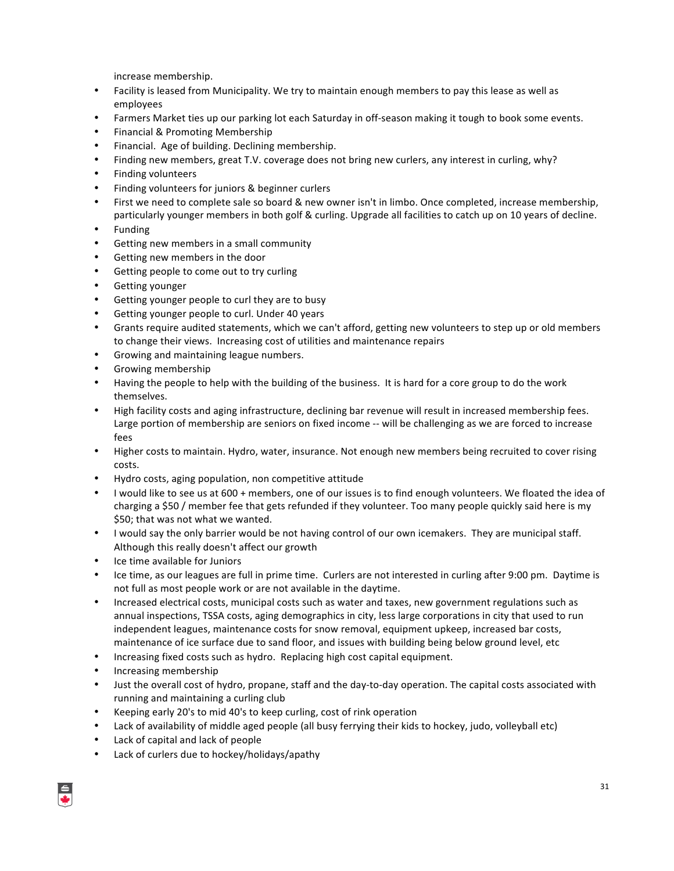increase membership.

- Facility is leased from Municipality. We try to maintain enough members to pay this lease as well as employees
- Farmers Market ties up our parking lot each Saturday in off-season making it tough to book some events.
- Financial & Promoting Membership
- Financial. Age of building. Declining membership.
- Finding new members, great T.V. coverage does not bring new curlers, any interest in curling, why?
- Finding volunteers
- Finding volunteers for juniors & beginner curlers
- First we need to complete sale so board & new owner isn't in limbo. Once completed, increase membership, particularly younger members in both golf & curling. Upgrade all facilities to catch up on 10 years of decline.
- **Funding**
- Getting new members in a small community
- Getting new members in the door
- Getting people to come out to try curling
- Getting younger
- Getting younger people to curl they are to busy
- Getting younger people to curl. Under 40 years
- Grants require audited statements, which we can't afford, getting new volunteers to step up or old members to change their views. Increasing cost of utilities and maintenance repairs
- Growing and maintaining league numbers.
- Growing membership
- Having the people to help with the building of the business. It is hard for a core group to do the work themselves.
- High facility costs and aging infrastructure, declining bar revenue will result in increased membership fees. Large portion of membership are seniors on fixed income -- will be challenging as we are forced to increase fees
- Higher costs to maintain. Hydro, water, insurance. Not enough new members being recruited to cover rising costs.
- Hydro costs, aging population, non competitive attitude
- I would like to see us at 600 + members, one of our issues is to find enough volunteers. We floated the idea of charging a \$50 / member fee that gets refunded if they volunteer. Too many people quickly said here is my \$50; that was not what we wanted.
- I would say the only barrier would be not having control of our own icemakers. They are municipal staff. Although this really doesn't affect our growth
- Ice time available for Juniors
- Ice time, as our leagues are full in prime time. Curlers are not interested in curling after 9:00 pm. Daytime is not full as most people work or are not available in the daytime.
- Increased electrical costs, municipal costs such as water and taxes, new government regulations such as annual inspections, TSSA costs, aging demographics in city, less large corporations in city that used to run independent leagues, maintenance costs for snow removal, equipment upkeep, increased bar costs, maintenance of ice surface due to sand floor, and issues with building being below ground level, etc
- Increasing fixed costs such as hydro. Replacing high cost capital equipment.
- Increasing membership
- Just the overall cost of hydro, propane, staff and the day-to-day operation. The capital costs associated with running and maintaining a curling club
- Keeping early 20's to mid 40's to keep curling, cost of rink operation
- Lack of availability of middle aged people (all busy ferrying their kids to hockey, judo, volleyball etc)
- Lack of capital and lack of people
- Lack of curlers due to hockey/holidays/apathy

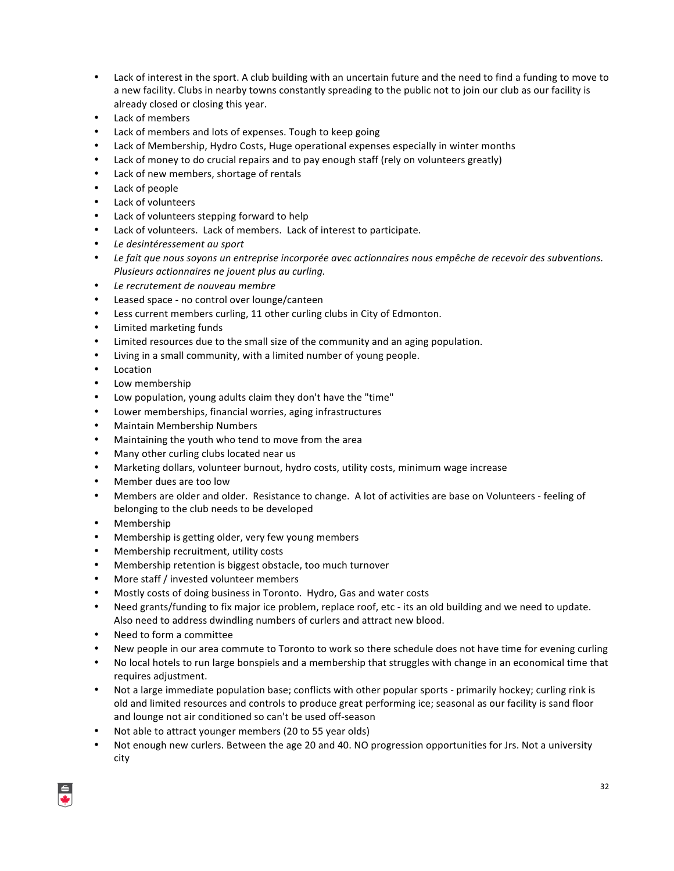- Lack of interest in the sport. A club building with an uncertain future and the need to find a funding to move to a new facility. Clubs in nearby towns constantly spreading to the public not to join our club as our facility is already closed or closing this year.
- Lack of members
- Lack of members and lots of expenses. Tough to keep going
- Lack of Membership, Hydro Costs, Huge operational expenses especially in winter months
- Lack of money to do crucial repairs and to pay enough staff (rely on volunteers greatly)
- Lack of new members, shortage of rentals
- Lack of people
- Lack of volunteers
- Lack of volunteers stepping forward to help
- Lack of volunteers. Lack of members. Lack of interest to participate.
- *Le desintéressement au sport*
- Le fait que nous soyons un entreprise incorporée avec actionnaires nous empêche de recevoir des subventions. *Plusieurs actionnaires ne jouent plus au curling.*
- Le recrutement de nouveau membre
- Leased space no control over lounge/canteen
- Less current members curling, 11 other curling clubs in City of Edmonton.
- Limited marketing funds
- Limited resources due to the small size of the community and an aging population.
- Living in a small community, with a limited number of young people.
- Location
- Low membership
- Low population, young adults claim they don't have the "time"
- Lower memberships, financial worries, aging infrastructures
- Maintain Membership Numbers
- Maintaining the youth who tend to move from the area
- Many other curling clubs located near us
- Marketing dollars, volunteer burnout, hydro costs, utility costs, minimum wage increase
- Member dues are too low
- Members are older and older. Resistance to change. A lot of activities are base on Volunteers feeling of belonging to the club needs to be developed
- Membership
- Membership is getting older, very few young members
- Membership recruitment, utility costs
- Membership retention is biggest obstacle, too much turnover
- More staff / invested volunteer members
- Mostly costs of doing business in Toronto. Hydro, Gas and water costs
- Need grants/funding to fix major ice problem, replace roof, etc its an old building and we need to update. Also need to address dwindling numbers of curlers and attract new blood.
- Need to form a committee
- New people in our area commute to Toronto to work so there schedule does not have time for evening curling
- No local hotels to run large bonspiels and a membership that struggles with change in an economical time that requires adjustment.
- Not a large immediate population base; conflicts with other popular sports primarily hockey; curling rink is old and limited resources and controls to produce great performing ice; seasonal as our facility is sand floor and lounge not air conditioned so can't be used off-season
- Not able to attract younger members (20 to 55 year olds)
- Not enough new curlers. Between the age 20 and 40. NO progression opportunities for Jrs. Not a university city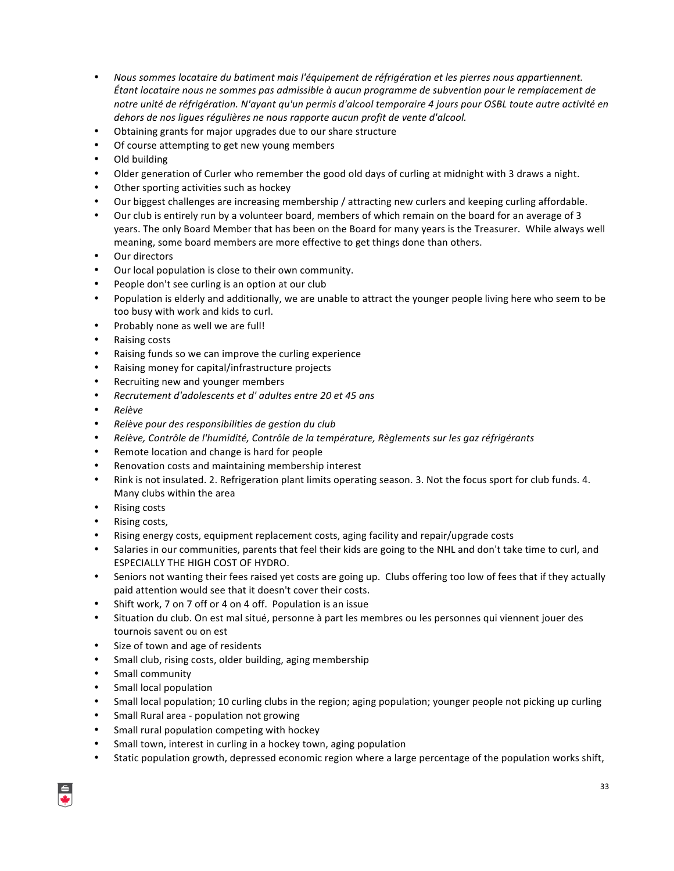- Nous sommes locataire du batiment mais l'équipement de réfrigération et les pierres nous appartiennent. *Étant locataire nous ne sommes pas admissible à aucun programme de subvention pour le remplacement de* notre unité de réfrigération. N'ayant qu'un permis d'alcool temporaire 4 jours pour OSBL toute autre activité en dehors de nos ligues régulières ne nous rapporte aucun profit de vente d'alcool.
- Obtaining grants for major upgrades due to our share structure
- Of course attempting to get new young members
- Old building
- Older generation of Curler who remember the good old days of curling at midnight with 3 draws a night.
- Other sporting activities such as hockey
- Our biggest challenges are increasing membership / attracting new curlers and keeping curling affordable.
- Our club is entirely run by a volunteer board, members of which remain on the board for an average of 3 years. The only Board Member that has been on the Board for many years is the Treasurer. While always well meaning, some board members are more effective to get things done than others.
- Our directors
- Our local population is close to their own community.
- People don't see curling is an option at our club
- Population is elderly and additionally, we are unable to attract the younger people living here who seem to be too busy with work and kids to curl.
- Probably none as well we are full!
- Raising costs
- Raising funds so we can improve the curling experience
- Raising money for capital/infrastructure projects
- Recruiting new and younger members
- *Recrutement d'adolescents et d' adultes entre 20 et 45 ans*
- *Relève*
- *Relève pour des responsibilities de gestion du club*
- *Relève, Contrôle de l'humidité, Contrôle de la température, Règlements sur les gaz réfrigérants*
- Remote location and change is hard for people
- Renovation costs and maintaining membership interest
- Rink is not insulated. 2. Refrigeration plant limits operating season. 3. Not the focus sport for club funds. 4. Many clubs within the area
- **Rising costs**
- Rising costs,
- Rising energy costs, equipment replacement costs, aging facility and repair/upgrade costs
- Salaries in our communities, parents that feel their kids are going to the NHL and don't take time to curl, and ESPECIALLY THE HIGH COST OF HYDRO.
- Seniors not wanting their fees raised yet costs are going up. Clubs offering too low of fees that if they actually paid attention would see that it doesn't cover their costs.
- Shift work, 7 on 7 off or 4 on 4 off. Population is an issue
- Situation du club. On est mal situé, personne à part les membres ou les personnes qui viennent jouer des tournois savent ou on est
- Size of town and age of residents
- Small club, rising costs, older building, aging membership
- Small community
- Small local population
- Small local population; 10 curling clubs in the region; aging population; younger people not picking up curling
- Small Rural area population not growing
- Small rural population competing with hockey
- Small town, interest in curling in a hockey town, aging population
- Static population growth, depressed economic region where a large percentage of the population works shift,

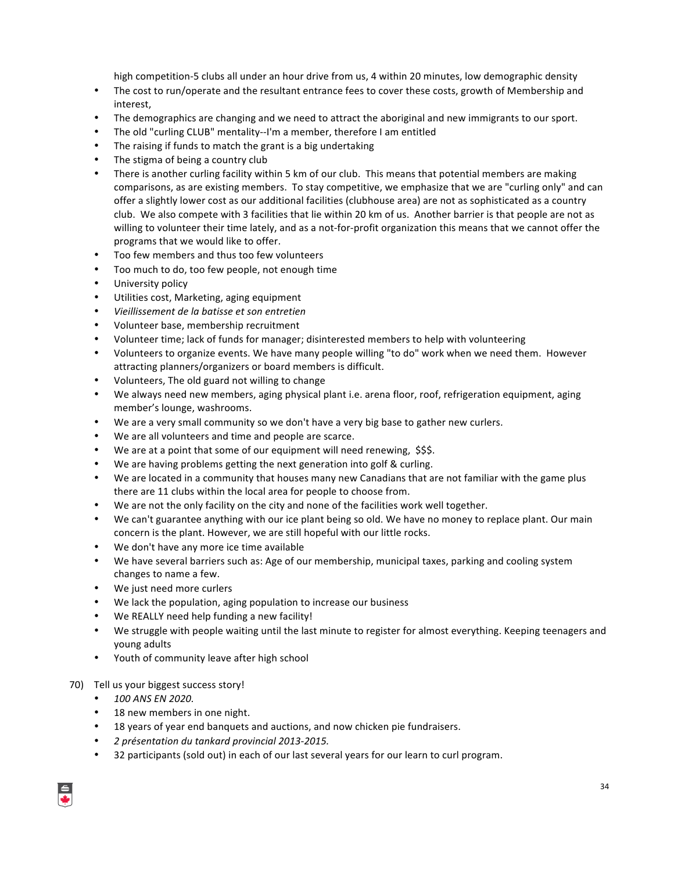high competition-5 clubs all under an hour drive from us, 4 within 20 minutes, low demographic density

- The cost to run/operate and the resultant entrance fees to cover these costs, growth of Membership and interest,
- The demographics are changing and we need to attract the aboriginal and new immigrants to our sport.
- The old "curling CLUB" mentality--I'm a member, therefore I am entitled
- The raising if funds to match the grant is a big undertaking
- The stigma of being a country club
- There is another curling facility within 5 km of our club. This means that potential members are making comparisons, as are existing members. To stay competitive, we emphasize that we are "curling only" and can offer a slightly lower cost as our additional facilities (clubhouse area) are not as sophisticated as a country club. We also compete with 3 facilities that lie within 20 km of us. Another barrier is that people are not as willing to volunteer their time lately, and as a not-for-profit organization this means that we cannot offer the programs that we would like to offer.
- Too few members and thus too few volunteers
- Too much to do, too few people, not enough time
- University policy
- Utilities cost, Marketing, aging equipment
- *Vieillissement de la batisse et son entretien*
- Volunteer base, membership recruitment
- Volunteer time; lack of funds for manager; disinterested members to help with volunteering
- Volunteers to organize events. We have many people willing "to do" work when we need them. However attracting planners/organizers or board members is difficult.
- Volunteers, The old guard not willing to change
- We always need new members, aging physical plant i.e. arena floor, roof, refrigeration equipment, aging member's lounge, washrooms.
- We are a very small community so we don't have a very big base to gather new curlers.
- We are all volunteers and time and people are scarce.
- We are at a point that some of our equipment will need renewing, \$\$\$.
- We are having problems getting the next generation into golf & curling.
- We are located in a community that houses many new Canadians that are not familiar with the game plus there are 11 clubs within the local area for people to choose from.
- We are not the only facility on the city and none of the facilities work well together.
- We can't guarantee anything with our ice plant being so old. We have no money to replace plant. Our main concern is the plant. However, we are still hopeful with our little rocks.
- We don't have any more ice time available
- We have several barriers such as: Age of our membership, municipal taxes, parking and cooling system changes to name a few.
- We just need more curlers
- We lack the population, aging population to increase our business
- We REALLY need help funding a new facility!
- We struggle with people waiting until the last minute to register for almost everything. Keeping teenagers and young adults
- Youth of community leave after high school
- 70) Tell us your biggest success story!
	- *100 ANS EN 2020.*
	- 18 new members in one night.
	- 18 years of year end banquets and auctions, and now chicken pie fundraisers.
	- *2 présentation du tankard provincial 2013-2015.*
	- 32 participants (sold out) in each of our last several years for our learn to curl program.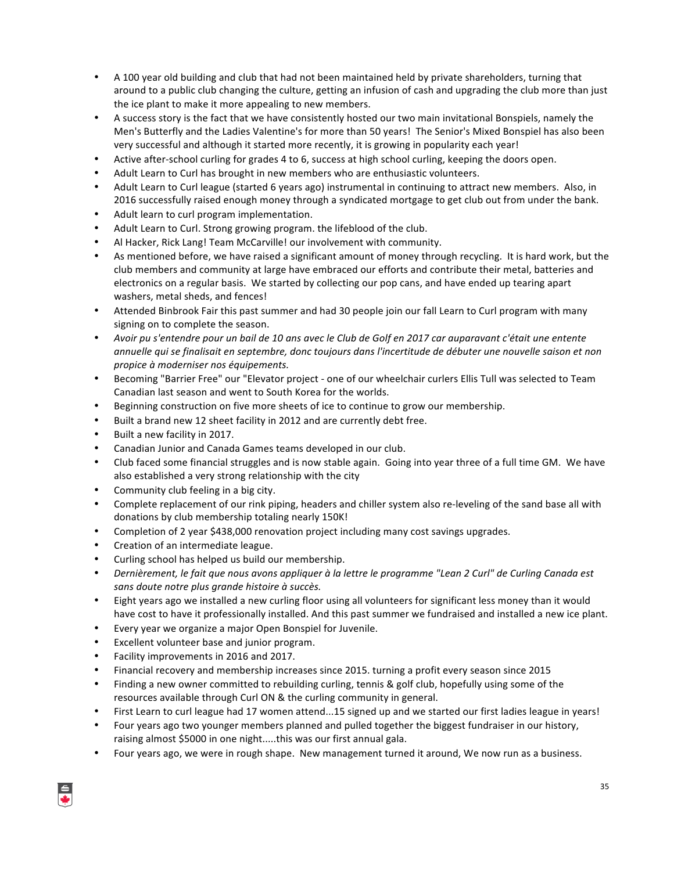- A 100 year old building and club that had not been maintained held by private shareholders, turning that around to a public club changing the culture, getting an infusion of cash and upgrading the club more than just the ice plant to make it more appealing to new members.
- A success story is the fact that we have consistently hosted our two main invitational Bonspiels, namely the Men's Butterfly and the Ladies Valentine's for more than 50 years! The Senior's Mixed Bonspiel has also been very successful and although it started more recently, it is growing in popularity each year!
- Active after-school curling for grades 4 to 6, success at high school curling, keeping the doors open.
- Adult Learn to Curl has brought in new members who are enthusiastic volunteers.
- Adult Learn to Curl league (started 6 years ago) instrumental in continuing to attract new members. Also, in 2016 successfully raised enough money through a syndicated mortgage to get club out from under the bank.
- Adult learn to curl program implementation.
- Adult Learn to Curl. Strong growing program. the lifeblood of the club.
- Al Hacker, Rick Lang! Team McCarville! our involvement with community.
- As mentioned before, we have raised a significant amount of money through recycling. It is hard work, but the club members and community at large have embraced our efforts and contribute their metal, batteries and electronics on a regular basis. We started by collecting our pop cans, and have ended up tearing apart washers, metal sheds, and fences!
- Attended Binbrook Fair this past summer and had 30 people join our fall Learn to Curl program with many signing on to complete the season.
- Avoir pu s'entendre pour un bail de 10 ans avec le Club de Golf en 2017 car auparavant c'était une entente annuelle qui se finalisait en septembre, donc toujours dans l'incertitude de débuter une nouvelle saison et non *propice à moderniser nos équipements.*
- Becoming "Barrier Free" our "Elevator project one of our wheelchair curlers Ellis Tull was selected to Team Canadian last season and went to South Korea for the worlds.
- Beginning construction on five more sheets of ice to continue to grow our membership.
- Built a brand new 12 sheet facility in 2012 and are currently debt free.
- Built a new facility in 2017.
- Canadian Junior and Canada Games teams developed in our club.
- Club faced some financial struggles and is now stable again. Going into year three of a full time GM. We have also established a very strong relationship with the city
- Community club feeling in a big city.
- Complete replacement of our rink piping, headers and chiller system also re-leveling of the sand base all with donations by club membership totaling nearly 150K!
- Completion of 2 year \$438,000 renovation project including many cost savings upgrades.
- Creation of an intermediate league.
- Curling school has helped us build our membership.
- Dernièrement, le fait que nous avons appliquer à la lettre le programme "Lean 2 Curl" de Curling Canada est sans doute notre plus grande histoire à succès.
- Eight years ago we installed a new curling floor using all volunteers for significant less money than it would have cost to have it professionally installed. And this past summer we fundraised and installed a new ice plant.
- Every year we organize a major Open Bonspiel for Juvenile.
- Excellent volunteer base and junior program.
- Facility improvements in 2016 and 2017.
- Financial recovery and membership increases since 2015. turning a profit every season since 2015
- Finding a new owner committed to rebuilding curling, tennis & golf club, hopefully using some of the resources available through Curl ON & the curling community in general.
- First Learn to curl league had 17 women attend...15 signed up and we started our first ladies league in years!
- Four years ago two younger members planned and pulled together the biggest fundraiser in our history, raising almost \$5000 in one night.....this was our first annual gala.
- Four years ago, we were in rough shape. New management turned it around, We now run as a business.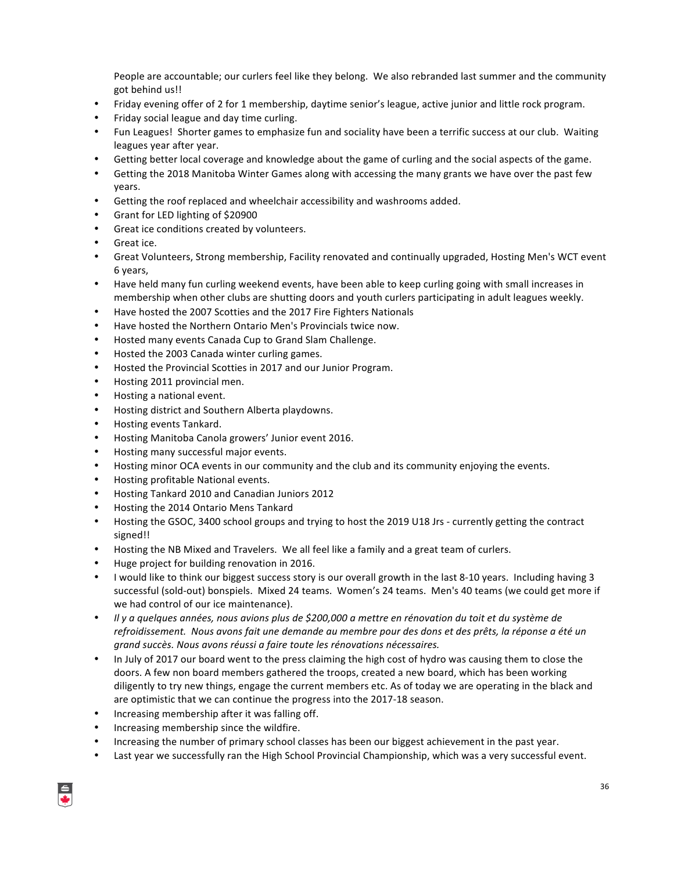People are accountable; our curlers feel like they belong. We also rebranded last summer and the community got behind us!!

- Friday evening offer of 2 for 1 membership, daytime senior's league, active junior and little rock program.
- Friday social league and day time curling.
- Fun Leagues! Shorter games to emphasize fun and sociality have been a terrific success at our club. Waiting leagues year after year.
- Getting better local coverage and knowledge about the game of curling and the social aspects of the game.
- Getting the 2018 Manitoba Winter Games along with accessing the many grants we have over the past few years.
- Getting the roof replaced and wheelchair accessibility and washrooms added.
- Grant for LED lighting of \$20900
- Great ice conditions created by volunteers.
- Great ice.
- Great Volunteers, Strong membership, Facility renovated and continually upgraded, Hosting Men's WCT event 6 years,
- Have held many fun curling weekend events, have been able to keep curling going with small increases in membership when other clubs are shutting doors and youth curlers participating in adult leagues weekly.
- Have hosted the 2007 Scotties and the 2017 Fire Fighters Nationals
- Have hosted the Northern Ontario Men's Provincials twice now.
- Hosted many events Canada Cup to Grand Slam Challenge.
- Hosted the 2003 Canada winter curling games.
- Hosted the Provincial Scotties in 2017 and our Junior Program.
- Hosting 2011 provincial men.
- Hosting a national event.
- Hosting district and Southern Alberta playdowns.
- Hosting events Tankard.
- Hosting Manitoba Canola growers' Junior event 2016.
- Hosting many successful major events.
- Hosting minor OCA events in our community and the club and its community enjoying the events.
- Hosting profitable National events.
- Hosting Tankard 2010 and Canadian Juniors 2012
- Hosting the 2014 Ontario Mens Tankard
- Hosting the GSOC, 3400 school groups and trying to host the 2019 U18 Jrs currently getting the contract signed!!
- Hosting the NB Mixed and Travelers. We all feel like a family and a great team of curlers.
- Huge project for building renovation in 2016.
- I would like to think our biggest success story is our overall growth in the last 8-10 years. Including having 3 successful (sold-out) bonspiels. Mixed 24 teams. Women's 24 teams. Men's 40 teams (we could get more if we had control of our ice maintenance).
- *Il* y a quelques années, nous avions plus de \$200,000 a mettre en rénovation du toit et du système de *refroidissement. Nous avons fait une demande au membre pour des dons et des prêts, la réponse a été un grand succès. Nous avons réussi a faire toute les rénovations nécessaires.*
- In July of 2017 our board went to the press claiming the high cost of hydro was causing them to close the doors. A few non board members gathered the troops, created a new board, which has been working diligently to try new things, engage the current members etc. As of today we are operating in the black and are optimistic that we can continue the progress into the 2017-18 season.
- Increasing membership after it was falling off.
- Increasing membership since the wildfire.
- Increasing the number of primary school classes has been our biggest achievement in the past year.
- Last year we successfully ran the High School Provincial Championship, which was a very successful event.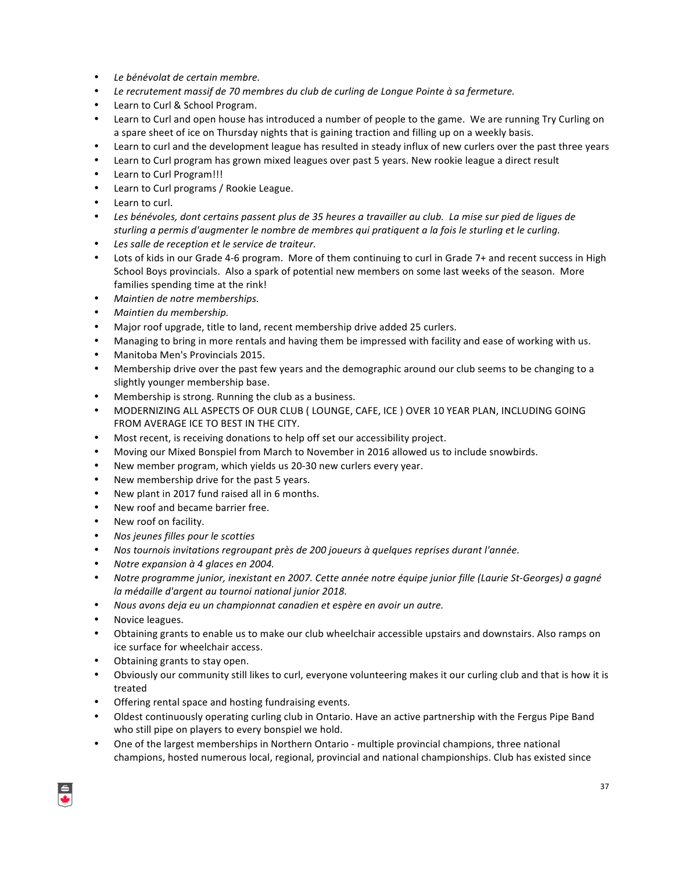- *Le bénévolat de certain membre.*
- Le recrutement massif de 70 membres du club de curling de Longue Pointe à sa fermeture.
- Learn to Curl & School Program.
- Learn to Curl and open house has introduced a number of people to the game. We are running Try Curling on a spare sheet of ice on Thursday nights that is gaining traction and filling up on a weekly basis.
- Learn to curl and the development league has resulted in steady influx of new curlers over the past three years
- Learn to Curl program has grown mixed leagues over past 5 years. New rookie league a direct result
- Learn to Curl Program!!!
- Learn to Curl programs / Rookie League.
- Learn to curl.
- Les bénévoles, dont certains passent plus de 35 heures a travailler au club. La mise sur pied de ligues de sturling a permis d'augmenter le nombre de membres qui pratiquent a la fois le sturling et le curling.
- Les salle de reception et le service de traiteur.
- Lots of kids in our Grade 4-6 program. More of them continuing to curl in Grade 7+ and recent success in High School Boys provincials. Also a spark of potential new members on some last weeks of the season. More families spending time at the rink!
- *Maintien de notre memberships.*
- *Maintien du membership.*
- Major roof upgrade, title to land, recent membership drive added 25 curlers.
- Managing to bring in more rentals and having them be impressed with facility and ease of working with us.
- Manitoba Men's Provincials 2015.
- Membership drive over the past few years and the demographic around our club seems to be changing to a slightly younger membership base.
- Membership is strong. Running the club as a business.
- MODERNIZING ALL ASPECTS OF OUR CLUB ( LOUNGE, CAFE, ICE ) OVER 10 YEAR PLAN, INCLUDING GOING FROM AVERAGE ICE TO BEST IN THE CITY.
- Most recent, is receiving donations to help off set our accessibility project.
- Moving our Mixed Bonspiel from March to November in 2016 allowed us to include snowbirds.
- New member program, which yields us 20-30 new curlers every year.
- New membership drive for the past 5 years.
- New plant in 2017 fund raised all in 6 months.
- New roof and became barrier free.
- New roof on facility.
- *Nos jeunes filles pour le scotties*
- Nos tournois invitations regroupant près de 200 joueurs à quelques reprises durant l'année.
- *Notre expansion à 4 glaces en 2004.*
- *Notre programme junior, inexistant en 2007. Cette année notre équipe junior fille (Laurie St-Georges) a gagné la* médaille d'argent au tournoi national junior 2018.
- Nous avons deja eu un championnat canadien et espère en avoir un autre.
- Novice leagues.
- Obtaining grants to enable us to make our club wheelchair accessible upstairs and downstairs. Also ramps on ice surface for wheelchair access.
- Obtaining grants to stay open.
- Obviously our community still likes to curl, everyone volunteering makes it our curling club and that is how it is treated
- Offering rental space and hosting fundraising events.
- Oldest continuously operating curling club in Ontario. Have an active partnership with the Fergus Pipe Band who still pipe on players to every bonspiel we hold.
- One of the largest memberships in Northern Ontario multiple provincial champions, three national champions, hosted numerous local, regional, provincial and national championships. Club has existed since

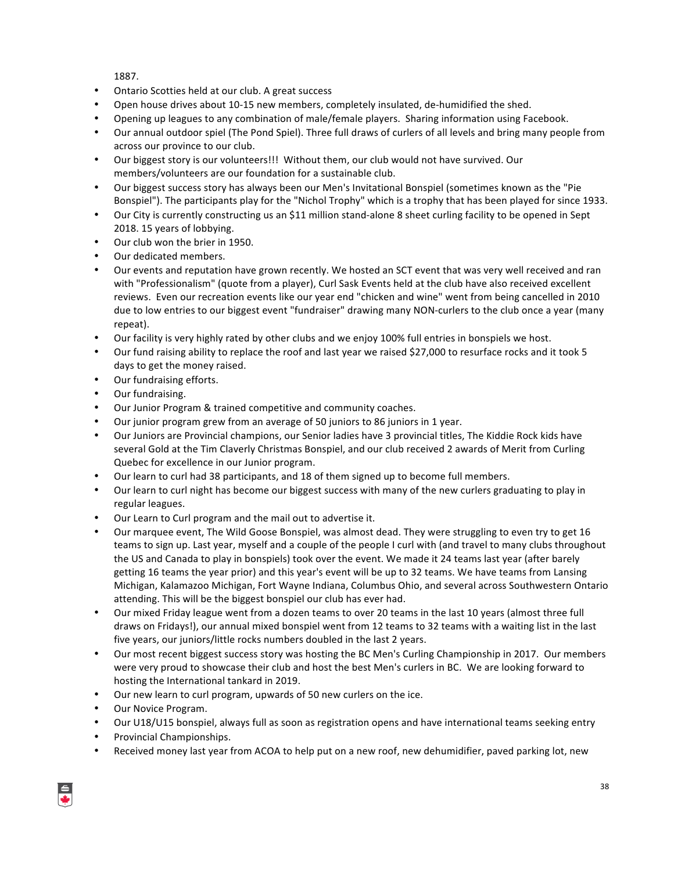1887.

- Ontario Scotties held at our club. A great success
- Open house drives about 10-15 new members, completely insulated, de-humidified the shed.
- Opening up leagues to any combination of male/female players. Sharing information using Facebook.
- Our annual outdoor spiel (The Pond Spiel). Three full draws of curlers of all levels and bring many people from across our province to our club.
- Our biggest story is our volunteers!!! Without them, our club would not have survived. Our members/volunteers are our foundation for a sustainable club.
- Our biggest success story has always been our Men's Invitational Bonspiel (sometimes known as the "Pie Bonspiel"). The participants play for the "Nichol Trophy" which is a trophy that has been played for since 1933.
- Our City is currently constructing us an \$11 million stand-alone 8 sheet curling facility to be opened in Sept 2018. 15 years of lobbying.
- Our club won the brier in 1950.
- Our dedicated members.
- Our events and reputation have grown recently. We hosted an SCT event that was very well received and ran with "Professionalism" (quote from a player), Curl Sask Events held at the club have also received excellent reviews. Even our recreation events like our year end "chicken and wine" went from being cancelled in 2010 due to low entries to our biggest event "fundraiser" drawing many NON-curlers to the club once a year (many repeat).
- Our facility is very highly rated by other clubs and we enjoy 100% full entries in bonspiels we host.
- Our fund raising ability to replace the roof and last year we raised \$27,000 to resurface rocks and it took 5 days to get the money raised.
- Our fundraising efforts.
- Our fundraising.
- Our Junior Program & trained competitive and community coaches.
- Our junior program grew from an average of 50 juniors to 86 juniors in 1 year.
- Our Juniors are Provincial champions, our Senior ladies have 3 provincial titles, The Kiddie Rock kids have several Gold at the Tim Claverly Christmas Bonspiel, and our club received 2 awards of Merit from Curling Quebec for excellence in our Junior program.
- Our learn to curl had 38 participants, and 18 of them signed up to become full members.
- Our learn to curl night has become our biggest success with many of the new curlers graduating to play in regular leagues.
- Our Learn to Curl program and the mail out to advertise it.
- Our marquee event, The Wild Goose Bonspiel, was almost dead. They were struggling to even try to get 16 teams to sign up. Last year, myself and a couple of the people I curl with (and travel to many clubs throughout the US and Canada to play in bonspiels) took over the event. We made it 24 teams last year (after barely getting 16 teams the year prior) and this year's event will be up to 32 teams. We have teams from Lansing Michigan, Kalamazoo Michigan, Fort Wayne Indiana, Columbus Ohio, and several across Southwestern Ontario attending. This will be the biggest bonspiel our club has ever had.
- Our mixed Friday league went from a dozen teams to over 20 teams in the last 10 years (almost three full draws on Fridays!), our annual mixed bonspiel went from 12 teams to 32 teams with a waiting list in the last five years, our juniors/little rocks numbers doubled in the last 2 years.
- Our most recent biggest success story was hosting the BC Men's Curling Championship in 2017. Our members were very proud to showcase their club and host the best Men's curlers in BC. We are looking forward to hosting the International tankard in 2019.
- Our new learn to curl program, upwards of 50 new curlers on the ice.
- Our Novice Program.
- Our U18/U15 bonspiel, always full as soon as registration opens and have international teams seeking entry
- Provincial Championships.
- Received money last year from ACOA to help put on a new roof, new dehumidifier, paved parking lot, new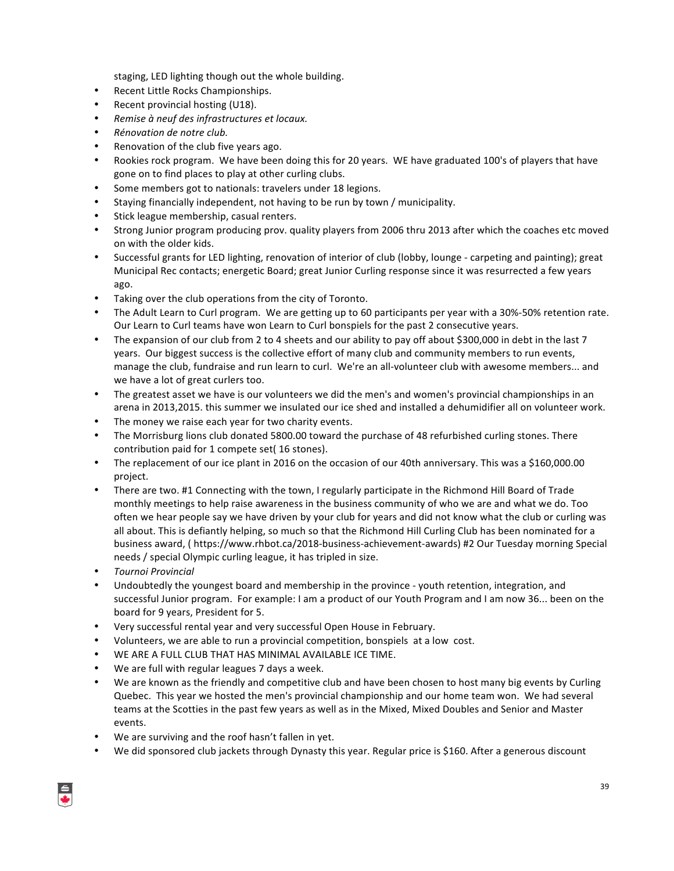staging, LED lighting though out the whole building.

- Recent Little Rocks Championships.
- Recent provincial hosting (U18).
- *Remise à neuf des infrastructures et locaux.*
- *Rénovation de notre club.*
- Renovation of the club five years ago.
- Rookies rock program. We have been doing this for 20 years. WE have graduated 100's of players that have gone on to find places to play at other curling clubs.
- Some members got to nationals: travelers under 18 legions.
- Staying financially independent, not having to be run by town / municipality.
- Stick league membership, casual renters.
- Strong Junior program producing prov. quality players from 2006 thru 2013 after which the coaches etc moved on with the older kids.
- Successful grants for LED lighting, renovation of interior of club (lobby, lounge carpeting and painting); great Municipal Rec contacts; energetic Board; great Junior Curling response since it was resurrected a few years ago.
- Taking over the club operations from the city of Toronto.
- The Adult Learn to Curl program. We are getting up to 60 participants per year with a 30%-50% retention rate. Our Learn to Curl teams have won Learn to Curl bonspiels for the past 2 consecutive years.
- The expansion of our club from 2 to 4 sheets and our ability to pay off about \$300,000 in debt in the last 7 years. Our biggest success is the collective effort of many club and community members to run events, manage the club, fundraise and run learn to curl. We're an all-volunteer club with awesome members... and we have a lot of great curlers too.
- The greatest asset we have is our volunteers we did the men's and women's provincial championships in an arena in 2013,2015. this summer we insulated our ice shed and installed a dehumidifier all on volunteer work.
- The money we raise each year for two charity events.
- The Morrisburg lions club donated 5800.00 toward the purchase of 48 refurbished curling stones. There contribution paid for 1 compete set( 16 stones).
- The replacement of our ice plant in 2016 on the occasion of our 40th anniversary. This was a \$160,000.00 project.
- There are two. #1 Connecting with the town, I regularly participate in the Richmond Hill Board of Trade monthly meetings to help raise awareness in the business community of who we are and what we do. Too often we hear people say we have driven by your club for years and did not know what the club or curling was all about. This is defiantly helping, so much so that the Richmond Hill Curling Club has been nominated for a business award, ( https://www.rhbot.ca/2018-business-achievement-awards) #2 Our Tuesday morning Special needs / special Olympic curling league, it has tripled in size.
- *Tournoi Provincial*
- Undoubtedly the youngest board and membership in the province youth retention, integration, and successful Junior program. For example: I am a product of our Youth Program and I am now 36... been on the board for 9 years, President for 5.
- Very successful rental year and very successful Open House in February.
- Volunteers, we are able to run a provincial competition, bonspiels at a low cost.
- WE ARE A FULL CLUB THAT HAS MINIMAL AVAILABLE ICE TIME.
- We are full with regular leagues 7 days a week.
- We are known as the friendly and competitive club and have been chosen to host many big events by Curling Quebec. This year we hosted the men's provincial championship and our home team won. We had several teams at the Scotties in the past few years as well as in the Mixed, Mixed Doubles and Senior and Master events.
- We are surviving and the roof hasn't fallen in yet.
- We did sponsored club jackets through Dynasty this year. Regular price is \$160. After a generous discount